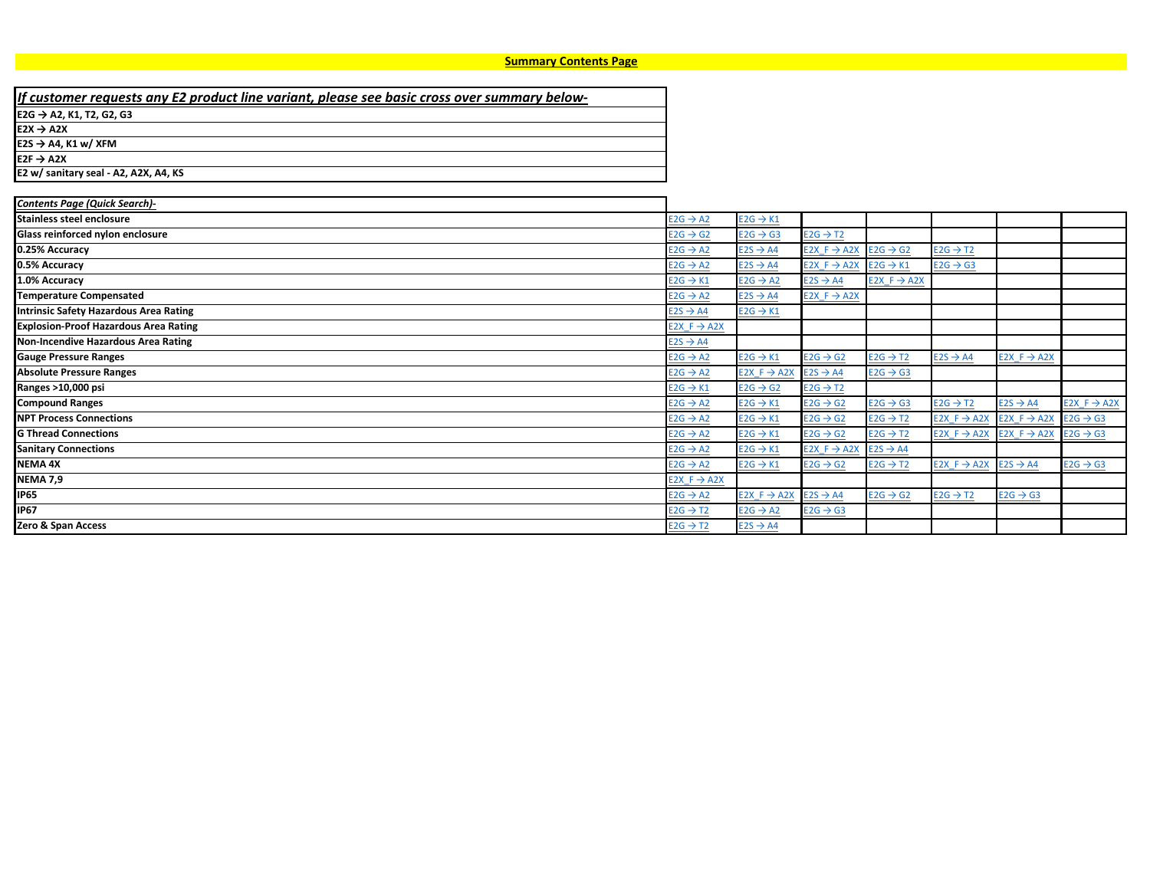<span id="page-0-1"></span><span id="page-0-0"></span>

| If customer requests any E2 product line variant, please see basic cross over summary below- |
|----------------------------------------------------------------------------------------------|
| E2G → A2, K1, T2, G2, G3                                                                     |
| $E2X \rightarrow A2X$                                                                        |
| $E2S \rightarrow A4$ , K1 w/ XFM                                                             |
| $E2F \rightarrow A2X$                                                                        |
| E2 w/ sanitary seal - A2, A2X, A4, KS                                                        |
|                                                                                              |

| <b>Contents Page (Quick Search)-</b>         |                         |                                              |                         |                         |                                              |                                                                      |                         |
|----------------------------------------------|-------------------------|----------------------------------------------|-------------------------|-------------------------|----------------------------------------------|----------------------------------------------------------------------|-------------------------|
| Stainless steel enclosure                    | $E2G \rightarrow A2$    | $E2G \rightarrow K1$                         |                         |                         |                                              |                                                                      |                         |
| Glass reinforced nylon enclosure             | $E2G \rightarrow G2$    | $E2G \rightarrow G3$                         | $E2G \rightarrow T2$    |                         |                                              |                                                                      |                         |
| 0.25% Accuracy                               | $E2G \rightarrow A2$    | $E2S \rightarrow A4$                         | $E2X F \rightarrow A2X$ | $E2G \rightarrow G2$    | $E2G \rightarrow T2$                         |                                                                      |                         |
| 0.5% Accuracy                                | $E2G \rightarrow A2$    | $E2S \rightarrow A4$                         | E2X $F \rightarrow A2X$ | $E2G \rightarrow K1$    | $E2G \rightarrow G3$                         |                                                                      |                         |
| 1.0% Accuracy                                | $E2G \rightarrow K1$    | $E2G \rightarrow A2$                         | $E2S \rightarrow A4$    | $E2X F \rightarrow A2X$ |                                              |                                                                      |                         |
| <b>Temperature Compensated</b>               | $E2G \rightarrow A2$    | $E2S \rightarrow A4$                         | $E2X F \rightarrow A2X$ |                         |                                              |                                                                      |                         |
| Intrinsic Safety Hazardous Area Rating       | $E2S \rightarrow A4$    | $E2G \rightarrow K1$                         |                         |                         |                                              |                                                                      |                         |
| <b>Explosion-Proof Hazardous Area Rating</b> | $E2X F \rightarrow A2X$ |                                              |                         |                         |                                              |                                                                      |                         |
| Non-Incendive Hazardous Area Rating          | $E2S \rightarrow A4$    |                                              |                         |                         |                                              |                                                                      |                         |
| <b>Gauge Pressure Ranges</b>                 | $E2G \rightarrow A2$    | $E2G \rightarrow K1$                         | $E2G \rightarrow G2$    | $E2G \rightarrow T2$    | $E2S \rightarrow A4$                         | $E2X F \rightarrow A2X$                                              |                         |
| <b>Absolute Pressure Ranges</b>              | $E2G \rightarrow A2$    | $E2X F \rightarrow A2X$                      | $E2S \rightarrow A4$    | $E2G \rightarrow G3$    |                                              |                                                                      |                         |
| Ranges >10,000 psi                           | $E2G \rightarrow K1$    | $E2G \rightarrow G2$                         | $E2G \rightarrow T2$    |                         |                                              |                                                                      |                         |
| <b>Compound Ranges</b>                       | $E2G \rightarrow A2$    | $E2G \rightarrow K1$                         | $E2G \rightarrow G2$    | $E2G \rightarrow G3$    | $E2G \rightarrow T2$                         | $E2S \rightarrow A4$                                                 | $E2X F \rightarrow A2X$ |
| <b>NPT Process Connections</b>               | $E2G \rightarrow A2$    | $E2G \rightarrow K1$                         | $E2G \rightarrow G2$    | $E2G \rightarrow T2$    |                                              | E2X F $\rightarrow$ A2X E2X F $\rightarrow$ A2X E2G $\rightarrow$ G3 |                         |
| <b>G Thread Connections</b>                  | $E2G \rightarrow A2$    | $E2G \rightarrow K1$                         | $E2G \rightarrow G2$    | $E2G \rightarrow T2$    |                                              | E2X F $\rightarrow$ A2X E2X F $\rightarrow$ A2X E2G $\rightarrow$ G3 |                         |
| <b>Sanitary Connections</b>                  | $E2G \rightarrow A2$    | $E2G \rightarrow K1$                         | $E2X F \rightarrow A2X$ | $E2S \rightarrow A4$    |                                              |                                                                      |                         |
| <b>NEMA 4X</b>                               | $E2G \rightarrow A2$    | $E2G \rightarrow K1$                         | $E2G \rightarrow G2$    | $E2G \rightarrow T2$    | E2X F $\rightarrow$ A2X E2S $\rightarrow$ A4 |                                                                      | $E2G \rightarrow G3$    |
| <b>NEMA 7,9</b>                              | E2X $F \rightarrow A2X$ |                                              |                         |                         |                                              |                                                                      |                         |
| <b>IP65</b>                                  | $E2G \rightarrow A2$    | E2X F $\rightarrow$ A2X E2S $\rightarrow$ A4 |                         | $E2G \rightarrow G2$    | $E2G \rightarrow T2$                         | $E2G \rightarrow G3$                                                 |                         |
| <b>IP67</b>                                  | $E2G \rightarrow T2$    | $E2G \rightarrow A2$                         | $E2G \rightarrow G3$    |                         |                                              |                                                                      |                         |
| Zero & Span Access                           | $E2G \rightarrow T2$    | $E2S \rightarrow AA$                         |                         |                         |                                              |                                                                      |                         |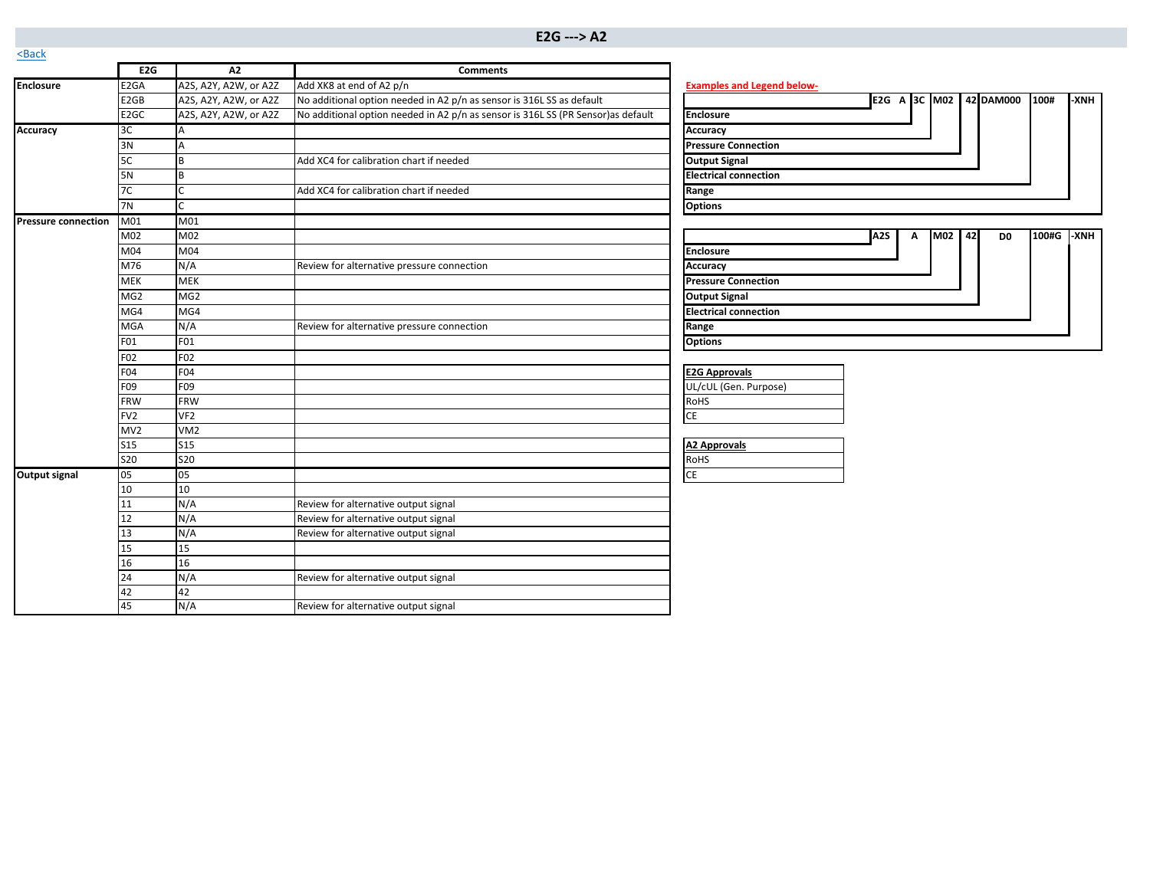<span id="page-1-0"></span>

| $S$ <sub>Da</sub> C <sub>N</sub> |                  |                       |                                                                                   |                                                                 |
|----------------------------------|------------------|-----------------------|-----------------------------------------------------------------------------------|-----------------------------------------------------------------|
|                                  | E <sub>2G</sub>  | A2                    | <b>Comments</b>                                                                   |                                                                 |
| <b>Enclosure</b>                 | E <sub>2GA</sub> | A2S, A2Y, A2W, or A2Z | Add XK8 at end of A2 p/n                                                          | <b>Examples and Legend below-</b>                               |
|                                  | E <sub>2GB</sub> | A2S, A2Y, A2W, or A2Z | No additional option needed in A2 p/n as sensor is 316L SS as default             | E2G A 3C M02 42 DAM000<br>100#<br>-XNH                          |
|                                  | E <sub>2GC</sub> | A2S, A2Y, A2W, or A2Z | No additional option needed in A2 p/n as sensor is 316L SS (PR Sensor) as default | <b>Enclosure</b>                                                |
| <b>Accuracy</b>                  | 3C               | A                     |                                                                                   | <b>Accuracy</b>                                                 |
|                                  | 3N               | A                     |                                                                                   | <b>Pressure Connection</b>                                      |
|                                  | 5C               | B                     | Add XC4 for calibration chart if needed                                           | <b>Output Signal</b>                                            |
|                                  | <b>5N</b>        | B                     |                                                                                   | <b>Electrical connection</b>                                    |
|                                  | 7C               |                       | Add XC4 for calibration chart if needed                                           | Range                                                           |
|                                  | 7N               | $\mathsf{C}$          |                                                                                   | <b>Options</b>                                                  |
| <b>Pressure connection</b>       | M01              | M <sub>01</sub>       |                                                                                   |                                                                 |
|                                  | M02              | M02                   |                                                                                   | M02 42<br>100#G -XNH<br>A <sub>2</sub> S<br>Α<br>D <sub>0</sub> |
|                                  | M04              | M04                   |                                                                                   | <b>Enclosure</b>                                                |
|                                  | M76              | N/A                   | Review for alternative pressure connection                                        | Accuracy                                                        |
|                                  | <b>MEK</b>       | <b>MEK</b>            |                                                                                   | <b>Pressure Connection</b>                                      |
|                                  | MG <sub>2</sub>  | MG <sub>2</sub>       |                                                                                   | <b>Output Signal</b>                                            |
|                                  | MG4              | MG4                   |                                                                                   | <b>Electrical connection</b>                                    |
|                                  | <b>MGA</b>       | N/A                   | Review for alternative pressure connection                                        | Range                                                           |
|                                  | F01              | F01                   |                                                                                   | <b>Options</b>                                                  |
|                                  | F02              | F02                   |                                                                                   |                                                                 |
|                                  | F04              | F04                   |                                                                                   | <b>E2G Approvals</b>                                            |
|                                  | F09              | F09                   |                                                                                   | UL/cUL (Gen. Purpose)                                           |
|                                  | <b>FRW</b>       | <b>FRW</b>            |                                                                                   | <b>RoHS</b>                                                     |
|                                  | FV <sub>2</sub>  | VF <sub>2</sub>       |                                                                                   | CE                                                              |
|                                  | MV2              | VM <sub>2</sub>       |                                                                                   |                                                                 |
|                                  | <b>S15</b>       | <b>S15</b>            |                                                                                   | <b>A2 Approvals</b>                                             |
|                                  | <b>S20</b>       | <b>S20</b>            |                                                                                   | RoHS                                                            |
| <b>Output signal</b>             | 05               | 05                    |                                                                                   | <b>CE</b>                                                       |
|                                  | 10               | 10                    |                                                                                   |                                                                 |
|                                  | 11               | N/A                   | Review for alternative output signal                                              |                                                                 |
|                                  | 12               | N/A                   | Review for alternative output signal                                              |                                                                 |
|                                  | 13               | N/A                   | Review for alternative output signal                                              |                                                                 |
|                                  | 15               | 15                    |                                                                                   |                                                                 |
|                                  | 16               | 16                    |                                                                                   |                                                                 |
|                                  | 24               | N/A                   | Review for alternative output signal                                              |                                                                 |
|                                  | 42               | 42                    |                                                                                   |                                                                 |
|                                  | 45               | N/A                   | Review for alternative output signal                                              |                                                                 |

|                              | E <sub>2G</sub> |  |  | A 3C M02 42 DAM000 | 100# | -XNH |
|------------------------------|-----------------|--|--|--------------------|------|------|
| <b>Enclosure</b>             |                 |  |  |                    |      |      |
| Accuracy                     |                 |  |  |                    |      |      |
| <b>Pressure Connection</b>   |                 |  |  |                    |      |      |
| <b>Output Signal</b>         |                 |  |  |                    |      |      |
| <b>Electrical connection</b> |                 |  |  |                    |      |      |
| Range                        |                 |  |  |                    |      |      |
| <b>Options</b>               |                 |  |  |                    |      |      |

|                              | A <sub>2S</sub> | А | <b>M02</b> | 42 | D <sub>0</sub> | 100#G | -XNH |
|------------------------------|-----------------|---|------------|----|----------------|-------|------|
| <b>Enclosure</b>             |                 |   |            |    |                |       |      |
| Accuracy                     |                 |   |            |    |                |       |      |
| <b>Pressure Connection</b>   |                 |   |            |    |                |       |      |
| <b>Output Signal</b>         |                 |   |            |    |                |       |      |
| <b>Electrical connection</b> |                 |   |            |    |                |       |      |
| Range                        |                 |   |            |    |                |       |      |
| <b>Options</b>               |                 |   |            |    |                |       |      |

| <b>E2G Approvals</b>  |  |
|-----------------------|--|
| UL/cUL (Gen. Purpose) |  |
| RoHS                  |  |
|                       |  |

| A2 Approvals |
|--------------|
| <b>RoHS</b>  |
|              |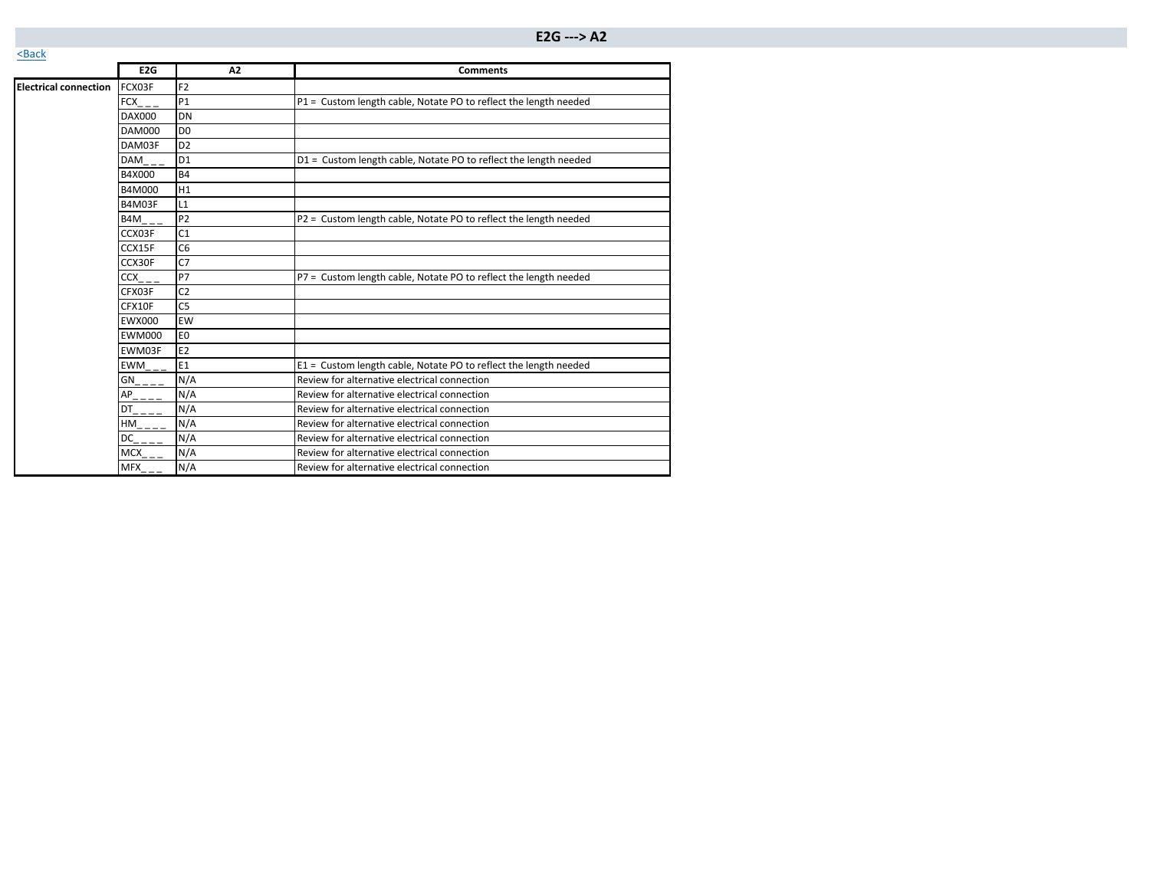|                              | E2G                                                   | A2             | <b>Comments</b>                                                  |
|------------------------------|-------------------------------------------------------|----------------|------------------------------------------------------------------|
| <b>Electrical connection</b> | FCX03F                                                | F <sub>2</sub> |                                                                  |
|                              | FCX                                                   | <b>P1</b>      | P1 = Custom length cable, Notate PO to reflect the length needed |
|                              | <b>DAX000</b>                                         | DN             |                                                                  |
|                              | DAM000                                                | D <sub>0</sub> |                                                                  |
|                              | DAM03F                                                | D <sub>2</sub> |                                                                  |
|                              | DAM                                                   | D <sub>1</sub> | D1 = Custom length cable, Notate PO to reflect the length needed |
|                              | B4X000                                                | <b>B4</b>      |                                                                  |
|                              | B4M000                                                | H1             |                                                                  |
|                              | B4M03F                                                | L1             |                                                                  |
|                              | B4M                                                   | P <sub>2</sub> | P2 = Custom length cable, Notate PO to reflect the length needed |
|                              | CCX03F                                                | C <sub>1</sub> |                                                                  |
|                              | CCX15F                                                | C <sub>6</sub> |                                                                  |
|                              | CCX30F                                                | C7             |                                                                  |
|                              | <b>CCX</b>                                            | <b>P7</b>      | P7 = Custom length cable, Notate PO to reflect the length needed |
|                              | CFX03F                                                | C <sub>2</sub> |                                                                  |
|                              | CFX10F                                                | C <sub>5</sub> |                                                                  |
|                              | <b>EWX000</b>                                         | EW             |                                                                  |
|                              | <b>EWM000</b>                                         | E <sub>0</sub> |                                                                  |
|                              | EWM03F                                                | E <sub>2</sub> |                                                                  |
|                              | $EWM_{-}$                                             | E1             | E1 = Custom length cable, Notate PO to reflect the length needed |
|                              | GN                                                    | N/A            | Review for alternative electrical connection                     |
|                              | $AP_{\overline{\phantom{a}}\phantom{a}=-\phantom{a}}$ | N/A            | Review for alternative electrical connection                     |
|                              | DT                                                    | N/A            | Review for alternative electrical connection                     |
|                              | HM                                                    | N/A            | Review for alternative electrical connection                     |
|                              | DC                                                    | N/A            | Review for alternative electrical connection                     |
|                              | <b>MCX</b>                                            | N/A            | Review for alternative electrical connection                     |
|                              | MFX                                                   | N/A            | Review for alternative electrical connection                     |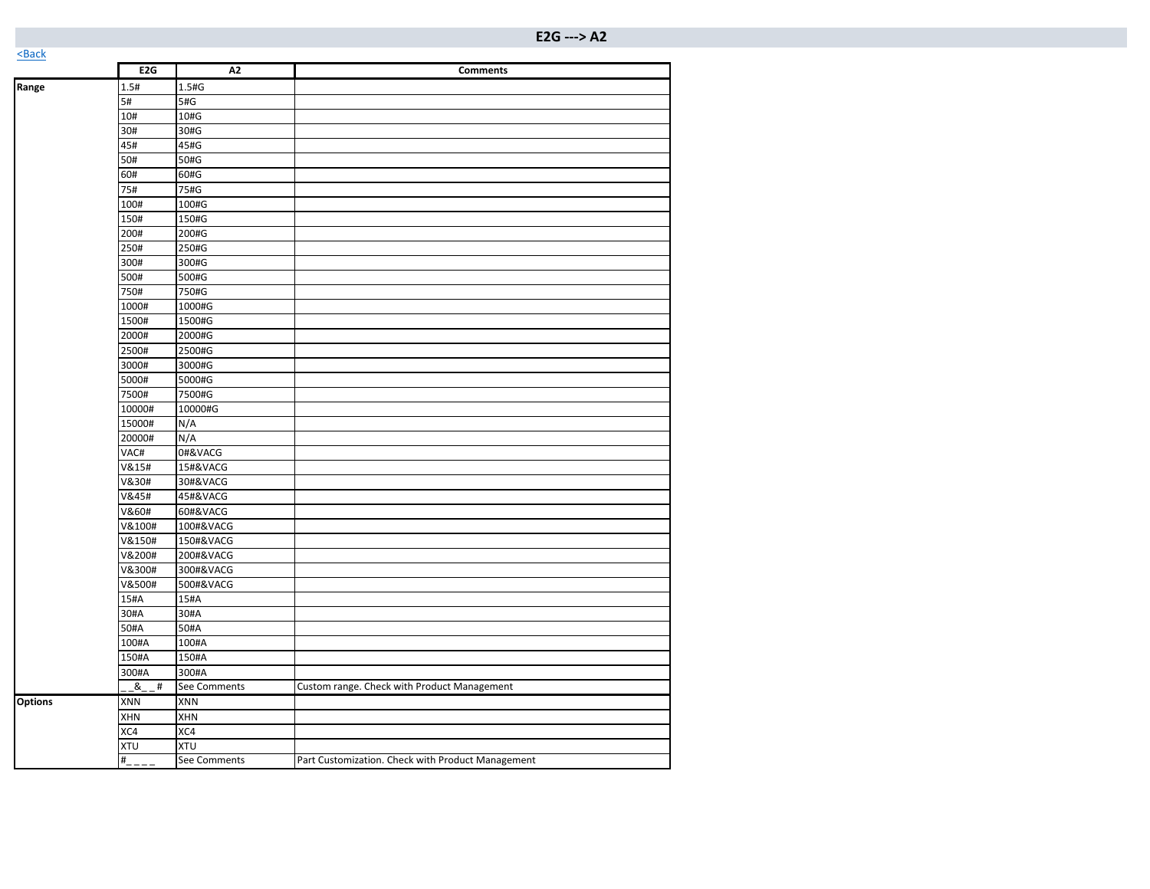|                | E <sub>2G</sub> | A <sub>2</sub> | <b>Comments</b>                                   |
|----------------|-----------------|----------------|---------------------------------------------------|
| Range          | 1.5#            | 1.5#G          |                                                   |
|                | 5#              | 5#G            |                                                   |
|                | 10#             | 10#G           |                                                   |
|                | 30#             | 30#G           |                                                   |
|                | 45#             | 45#G           |                                                   |
|                | 50#             | 50#G           |                                                   |
|                | 60#             | 60#G           |                                                   |
|                | 75#             | 75#G           |                                                   |
|                | 100#            | 100#G          |                                                   |
|                | 150#            | 150#G          |                                                   |
|                | 200#            | 200#G          |                                                   |
|                | 250#            | 250#G          |                                                   |
|                | 300#            | 300#G          |                                                   |
|                | 500#            | 500#G          |                                                   |
|                | 750#            | 750#G          |                                                   |
|                | 1000#           | 1000#G         |                                                   |
|                | 1500#           | 1500#G         |                                                   |
|                | 2000#           | 2000#G         |                                                   |
|                | 2500#           | 2500#G         |                                                   |
|                | 3000#           | 3000#G         |                                                   |
|                | 5000#           | 5000#G         |                                                   |
|                | 7500#           | 7500#G         |                                                   |
|                | 10000#          | 10000#G        |                                                   |
|                | 15000#          | N/A            |                                                   |
|                | 20000#          | N/A            |                                                   |
|                | VAC#            | 0#&VACG        |                                                   |
|                | V&15#           | 15#&VACG       |                                                   |
|                | V&30#           | 30#&VACG       |                                                   |
|                | V&45#           | 45#&VACG       |                                                   |
|                | V&60#           | 60#&VACG       |                                                   |
|                | V&100#          | 100#&VACG      |                                                   |
|                | V&150#          | 150#&VACG      |                                                   |
|                | V&200#          | 200#&VACG      |                                                   |
|                | V&300#          | 300#&VACG      |                                                   |
|                | V&500#          | 500#&VACG      |                                                   |
|                | 15#A            | 15#A           |                                                   |
|                | 30#A            | 30#A           |                                                   |
|                | 50#A            | 50#A           |                                                   |
|                | 100#A           | 100#A          |                                                   |
|                | 150#A           | 150#A          |                                                   |
|                | 300#A           | 300#A          |                                                   |
|                | $8 -$<br>#      | See Comments   | Custom range. Check with Product Management       |
| <b>Options</b> | XNN             | XNN            |                                                   |
|                | XHN             | XHN            |                                                   |
|                | XC4             | XC4            |                                                   |
|                | <b>XTU</b>      | <b>XTU</b>     |                                                   |
|                | #               | See Comments   | Part Customization. Check with Product Management |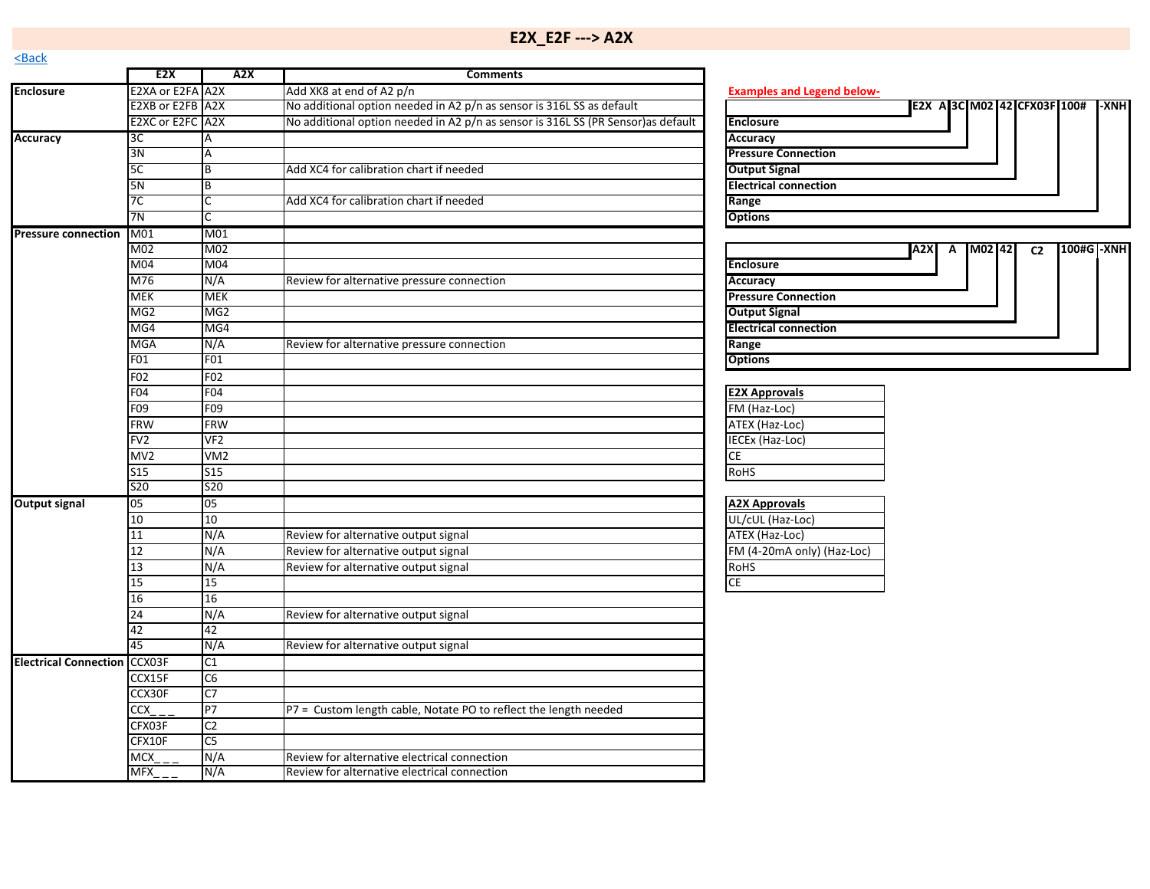<span id="page-4-0"></span>

|                              | E <sub>2</sub> X | A2X             | <b>Comments</b>                                                                   |                                                    |
|------------------------------|------------------|-----------------|-----------------------------------------------------------------------------------|----------------------------------------------------|
| <b>Enclosure</b>             | E2XA or E2FA A2X |                 | Add XK8 at end of A2 p/n                                                          | <b>Examples and Legend below-</b>                  |
|                              | E2XB or E2FB A2X |                 | No additional option needed in A2 p/n as sensor is 316L SS as default             | E2X A 3C M02 42 CFX03F 100#<br>-XNH                |
|                              | E2XC or E2FC A2X |                 | No additional option needed in A2 p/n as sensor is 316L SS (PR Sensor) as default | <b>Enclosure</b>                                   |
| <b>Accuracy</b>              | 3C               | A               |                                                                                   | Accuracy                                           |
| $\overline{3N}$              |                  |                 |                                                                                   | <b>Pressure Connection</b>                         |
|                              | 5 <sub>C</sub>   | B               | Add XC4 for calibration chart if needed                                           | <b>Output Signal</b>                               |
|                              | <b>5N</b>        | В               |                                                                                   | <b>Electrical connection</b>                       |
|                              | 7C               |                 | Add XC4 for calibration chart if needed                                           | Range                                              |
|                              | 7N               |                 |                                                                                   | <b>Options</b>                                     |
| <b>Pressure connection</b>   | M01              | M01             |                                                                                   |                                                    |
|                              | M02              | M02             |                                                                                   | M02 42<br>100#G -XNH<br>A2X<br>A<br>C <sub>2</sub> |
|                              | M <sub>04</sub>  | M04             |                                                                                   | <b>Enclosure</b>                                   |
|                              | M76              | N/A             | Review for alternative pressure connection                                        | Accuracy                                           |
|                              | MEK              | <b>MEK</b>      |                                                                                   | <b>Pressure Connection</b>                         |
|                              | MG <sub>2</sub>  | MG <sub>2</sub> |                                                                                   | <b>Output Signal</b>                               |
|                              | MG4              | MG4             |                                                                                   | <b>Electrical connection</b>                       |
|                              | MGA              | N/A             | Review for alternative pressure connection                                        | Range                                              |
|                              | F01              | F01             |                                                                                   | <b>Options</b>                                     |
|                              | F02              | F02             |                                                                                   |                                                    |
|                              | F04              | F04             |                                                                                   | <b>E2X Approvals</b>                               |
|                              | F09              | F09             |                                                                                   | FM (Haz-Loc)                                       |
|                              | <b>FRW</b>       | <b>FRW</b>      |                                                                                   | ATEX (Haz-Loc)                                     |
|                              | FV <sub>2</sub>  | VF <sub>2</sub> |                                                                                   | <b>IECEx (Haz-Loc)</b>                             |
|                              | MV2              | VM <sub>2</sub> |                                                                                   | CE                                                 |
|                              | <b>S15</b>       | S15             |                                                                                   | <b>RoHS</b>                                        |
|                              | <b>S20</b>       | <b>S20</b>      |                                                                                   |                                                    |
| <b>Output signal</b>         | 05               | 05              |                                                                                   | <b>A2X Approvals</b>                               |
|                              | 10               | 10              |                                                                                   | UL/cUL (Haz-Loc)                                   |
|                              | 11               | N/A             | Review for alternative output signal                                              | ATEX (Haz-Loc)                                     |
|                              | 12               | N/A             | Review for alternative output signal                                              | FM (4-20mA only) (Haz-Loc)                         |
|                              | 13               | N/A             | Review for alternative output signal                                              | <b>RoHS</b>                                        |
|                              | 15               | 15              |                                                                                   | CE                                                 |
|                              | 16               | 16              |                                                                                   |                                                    |
|                              | 24               | N/A             | Review for alternative output signal                                              |                                                    |
|                              | 42               | 42              |                                                                                   |                                                    |
|                              | 45               | N/A             | Review for alternative output signal                                              |                                                    |
| <b>Electrical Connection</b> | CCX03F           | C1              |                                                                                   |                                                    |
|                              | CCX15F           | C6              |                                                                                   |                                                    |
|                              | CCX30F           | C <sub>7</sub>  |                                                                                   |                                                    |
|                              | $\overline{CCX}$ | P7              | P7 = Custom length cable, Notate PO to reflect the length needed                  |                                                    |
|                              | CFX03F           | C <sub>2</sub>  |                                                                                   |                                                    |
|                              | CFX10F           | C <sub>5</sub>  |                                                                                   |                                                    |
|                              | MCX              | N/A             | Review for alternative electrical connection                                      |                                                    |
|                              | <b>MFX</b>       | N/A             | Review for alternative electrical connection                                      |                                                    |
|                              |                  |                 |                                                                                   |                                                    |

|                              |  |  | E2X A 3C M02 42 CFX03F 100# | <b>LXNH</b> |
|------------------------------|--|--|-----------------------------|-------------|
| <b>Enclosure</b>             |  |  |                             |             |
| <b>Accuracy</b>              |  |  |                             |             |
| <b>Pressure Connection</b>   |  |  |                             |             |
| <b>Output Signal</b>         |  |  |                             |             |
| <b>Electrical connection</b> |  |  |                             |             |
| Range                        |  |  |                             |             |
| <b>Options</b>               |  |  |                             |             |

|                              | <b>A2X</b> | A | M02 42 | C <sub>2</sub> | 100#G -XNH |  |
|------------------------------|------------|---|--------|----------------|------------|--|
| Enclosure                    |            |   |        |                |            |  |
| <b>Accuracy</b>              |            |   |        |                |            |  |
| <b>Pressure Connection</b>   |            |   |        |                |            |  |
| <b>Output Signal</b>         |            |   |        |                |            |  |
| <b>Electrical connection</b> |            |   |        |                |            |  |
| Range                        |            |   |        |                |            |  |
| <b>Options</b>               |            |   |        |                |            |  |

| <b>E2X Approvals</b> |  |
|----------------------|--|
| FM (Haz-Loc)         |  |
| ATEX (Haz-Loc)       |  |
| IECEx (Haz-Loc)      |  |
| СF                   |  |
| <b>RoHS</b>          |  |
|                      |  |

| <b>A2X Approvals</b>       |  |
|----------------------------|--|
| UL/cUL (Haz-Loc)           |  |
| ATEX (Haz-Loc)             |  |
| FM (4-20mA only) (Haz-Loc) |  |
| <b>RoHS</b>                |  |
|                            |  |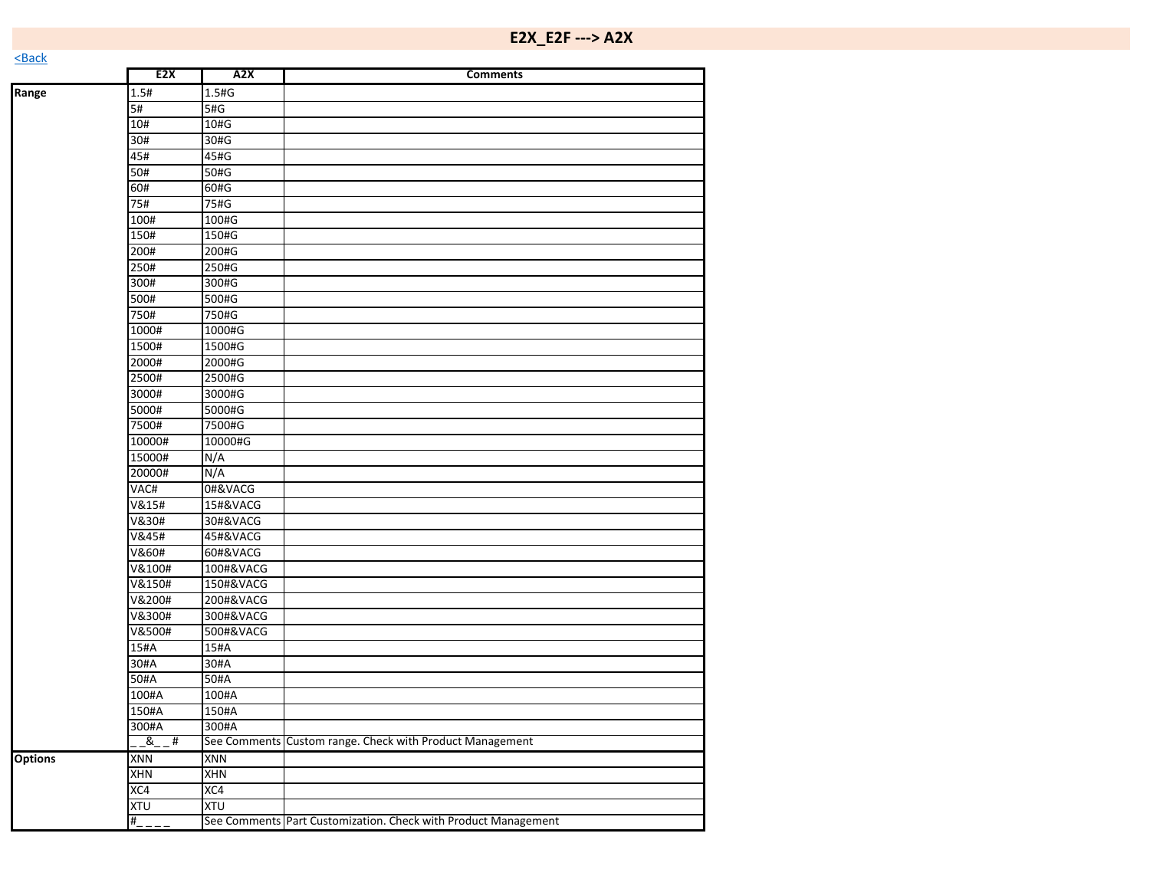**Range** 1.5# 1.5#G

|                | 5#               | 5#G        |                                                          |  |
|----------------|------------------|------------|----------------------------------------------------------|--|
|                | 10#              | 10#G       |                                                          |  |
|                | 30#              | 30#G       |                                                          |  |
|                | 45#              | 45#G       |                                                          |  |
|                | 50#              | 50#G       |                                                          |  |
|                | 60#              | 60#G       |                                                          |  |
|                | 75#              | 75#G       |                                                          |  |
|                | 100#             | 100#G      |                                                          |  |
|                | 150#             | 150#G      |                                                          |  |
|                | 200#             | 200#G      |                                                          |  |
|                | 250#             | 250#G      |                                                          |  |
|                | 300#             | 300#G      |                                                          |  |
|                | 500#             | 500#G      |                                                          |  |
|                | 750#             | 750#G      |                                                          |  |
|                | 1000#            | 1000#G     |                                                          |  |
|                | 1500#            | 1500#G     |                                                          |  |
|                | 2000#            | 2000#G     |                                                          |  |
|                | 2500#            | 2500#G     |                                                          |  |
|                | 3000#            | 3000#G     |                                                          |  |
|                | 5000#            | 5000#G     |                                                          |  |
|                | 7500#            | 7500#G     |                                                          |  |
|                | 10000#           | 10000#G    |                                                          |  |
|                | 15000#           | N/A        |                                                          |  |
|                | 20000#           | N/A        |                                                          |  |
|                | VAC#             | 0#&VACG    |                                                          |  |
|                | <b>V&amp;15#</b> | 15#&VACG   |                                                          |  |
|                | V&30#            | 30#&VACG   |                                                          |  |
|                | V&45#            | 45#&VACG   |                                                          |  |
|                | V&60#            | 60#&VACG   |                                                          |  |
|                | V&100#           | 100#&VACG  |                                                          |  |
|                | V&150#           | 150#&VACG  |                                                          |  |
|                | V&200#           | 200#&VACG  |                                                          |  |
|                | V&300#           | 300#&VACG  |                                                          |  |
|                | V&500#           | 500#&VACG  |                                                          |  |
|                | 15#A             | 15#A       |                                                          |  |
|                | 30#A             | 30#A       |                                                          |  |
|                | 50#A             | 50#A       |                                                          |  |
|                | 100#A            | 100#A      |                                                          |  |
|                | 150#A            | 150#A      |                                                          |  |
|                | 300#A            | 300#A      |                                                          |  |
|                | &<br>#           |            | See Comments Custom range. Check with Product Management |  |
| <b>Options</b> | XNN              | XNN        |                                                          |  |
|                | <b>XHN</b>       | <b>XHN</b> |                                                          |  |
|                | XC4              | XC4        |                                                          |  |
|                |                  |            |                                                          |  |

XC4 XC4<br>XTU XTU

XTU XTU

#\_\_\_\_ See Comments Part Customization. Check with Product Management

**E2X A2X Comments**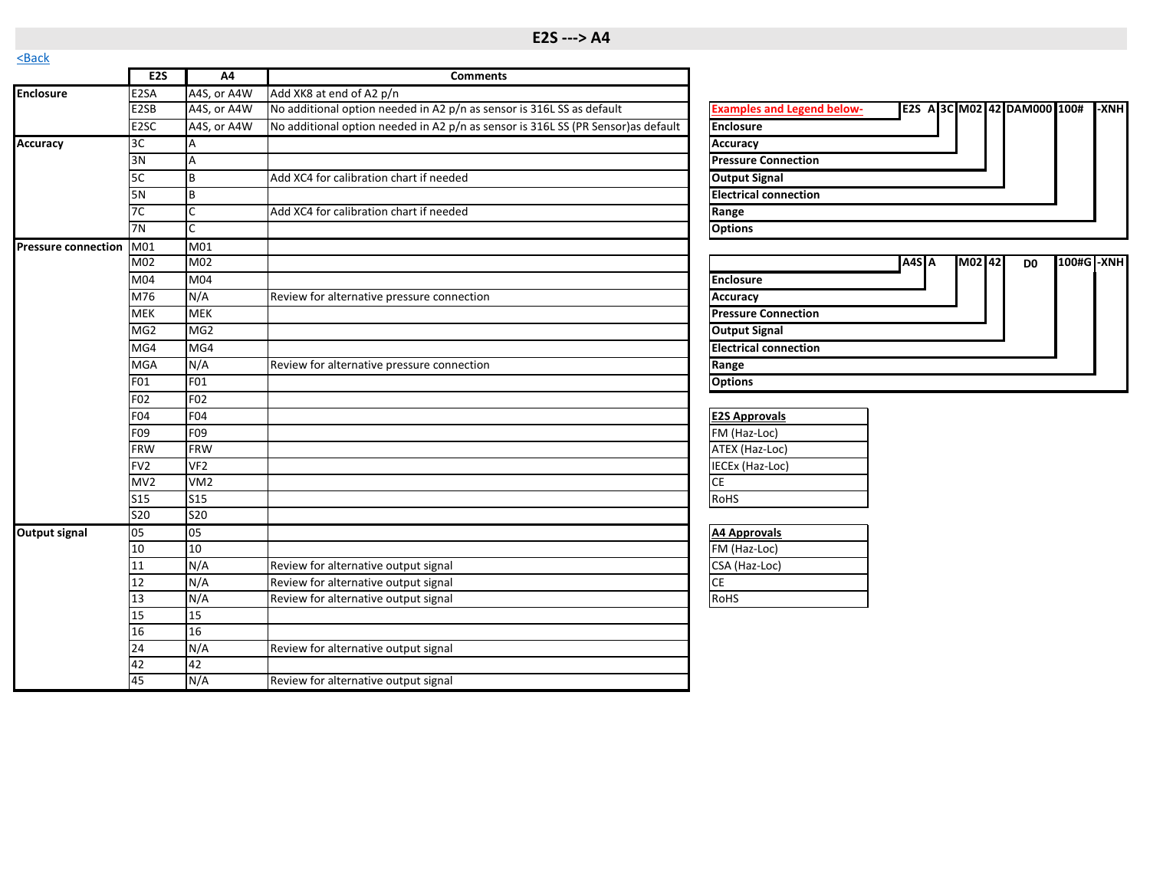<span id="page-6-0"></span>

| S                       |                   |                 |                                                                                   |                                                                                  |
|-------------------------|-------------------|-----------------|-----------------------------------------------------------------------------------|----------------------------------------------------------------------------------|
|                         | E2S               | A4              | <b>Comments</b>                                                                   |                                                                                  |
| <b>Enclosure</b>        | E2SA              | A4S, or A4W     | Add XK8 at end of A2 p/n                                                          |                                                                                  |
|                         | E <sub>2</sub> SB | A4S, or A4W     | No additional option needed in A2 p/n as sensor is 316L SS as default             | <b>Examples and Legend below-</b><br>E2S A 3C M02 42 DAM000 100#<br><b>I-XNH</b> |
|                         | E <sub>2</sub> SC | A4S, or A4W     | No additional option needed in A2 p/n as sensor is 316L SS (PR Sensor) as default | <b>Enclosure</b>                                                                 |
| <b>Accuracy</b>         | 3C                | A               |                                                                                   | <b>Accuracy</b>                                                                  |
|                         | 3N                | A               |                                                                                   | <b>Pressure Connection</b>                                                       |
|                         | 5C                | B               | Add XC4 for calibration chart if needed                                           | <b>Output Signal</b>                                                             |
|                         | 5N                | Iв              |                                                                                   | <b>Electrical connection</b>                                                     |
|                         | 7C                |                 | Add XC4 for calibration chart if needed                                           | Range                                                                            |
|                         | 7N                | lc.             |                                                                                   | <b>Options</b>                                                                   |
| Pressure connection M01 |                   | M01             |                                                                                   |                                                                                  |
|                         | M02               | M02             |                                                                                   | A4S A<br>M02 42<br>100#G -XNH<br>D <sub>0</sub>                                  |
|                         | M04               | M <sub>0</sub>  |                                                                                   | <b>Enclosure</b>                                                                 |
|                         | M76               | N/A             | Review for alternative pressure connection                                        | <b>Accuracy</b>                                                                  |
|                         | <b>MEK</b>        | <b>MEK</b>      |                                                                                   | <b>Pressure Connection</b>                                                       |
|                         | MG <sub>2</sub>   | MG <sub>2</sub> |                                                                                   | <b>Output Signal</b>                                                             |
|                         | MG4               | MG4             |                                                                                   | <b>Electrical connection</b>                                                     |
|                         | <b>MGA</b>        | N/A             | Review for alternative pressure connection                                        | Range                                                                            |
|                         | F01               | F01             |                                                                                   | <b>Options</b>                                                                   |
|                         | F02               | F <sub>02</sub> |                                                                                   |                                                                                  |
|                         | F04               | <b>F04</b>      |                                                                                   | <b>E2S Approvals</b>                                                             |
|                         | F09               | F09             |                                                                                   | FM (Haz-Loc)                                                                     |
|                         | <b>FRW</b>        | <b>FRW</b>      |                                                                                   | ATEX (Haz-Loc)                                                                   |
|                         | FV <sub>2</sub>   | VF <sub>2</sub> |                                                                                   | IECEx (Haz-Loc)                                                                  |
|                         | MV2               | VM <sub>2</sub> |                                                                                   | <b>CE</b>                                                                        |
|                         | <b>S15</b>        | S15             |                                                                                   | RoHS                                                                             |
|                         | <b>S20</b>        | <b>S20</b>      |                                                                                   |                                                                                  |
| <b>Output signal</b>    | 05                | 05              |                                                                                   | <b>A4 Approvals</b>                                                              |
|                         | 10                | 10              |                                                                                   | FM (Haz-Loc)                                                                     |
|                         | 11                | N/A             | Review for alternative output signal                                              | CSA (Haz-Loc)                                                                    |
|                         | 12                | N/A             | Review for alternative output signal                                              | <b>CE</b>                                                                        |
|                         | 13                | N/A             | Review for alternative output signal                                              | RoHS                                                                             |
|                         | 15                | 15              |                                                                                   |                                                                                  |
|                         | 16                | 16              |                                                                                   |                                                                                  |
|                         | 24                | N/A             | Review for alternative output signal                                              |                                                                                  |
|                         | 42                | 42              |                                                                                   |                                                                                  |
|                         | 45                | N/A             | Review for alternative output signal                                              |                                                                                  |

| <b>Examples and Legend below-</b> |       |        | E2S A 3C M02 42 DAM000 100# |            | -XNH |
|-----------------------------------|-------|--------|-----------------------------|------------|------|
| <b>Enclosure</b>                  |       |        |                             |            |      |
| Accuracy                          |       |        |                             |            |      |
| <b>Pressure Connection</b>        |       |        |                             |            |      |
| <b>Output Signal</b>              |       |        |                             |            |      |
| <b>Electrical connection</b>      |       |        |                             |            |      |
| Range                             |       |        |                             |            |      |
| <b>Options</b>                    |       |        |                             |            |      |
|                                   |       |        |                             |            |      |
|                                   | A4S A | M02142 | D <sub>0</sub>              | 100#G -XNH |      |
| <b>Enclosure</b>                  |       |        |                             |            |      |
| <b>Accuracy</b>                   |       |        |                             |            |      |
| <b>Pressure Connection</b>        |       |        |                             |            |      |
| <b>Output Signal</b>              |       |        |                             |            |      |
| <b>Electrical connection</b>      |       |        |                             |            |      |
| Range                             |       |        |                             |            |      |
| $0.11 -$                          |       |        |                             |            |      |

| <b>E2S Approvals</b> |  |
|----------------------|--|
| FM (Haz-Loc)         |  |
| ATEX (Haz-Loc)       |  |
| IECEx (Haz-Loc)      |  |
| СE                   |  |
| <b>RoHS</b>          |  |

| <b>A4 Approvals</b> |
|---------------------|
| FM (Haz-Loc)        |
| CSA (Haz-Loc)       |
|                     |
| <b>RoHS</b>         |
|                     |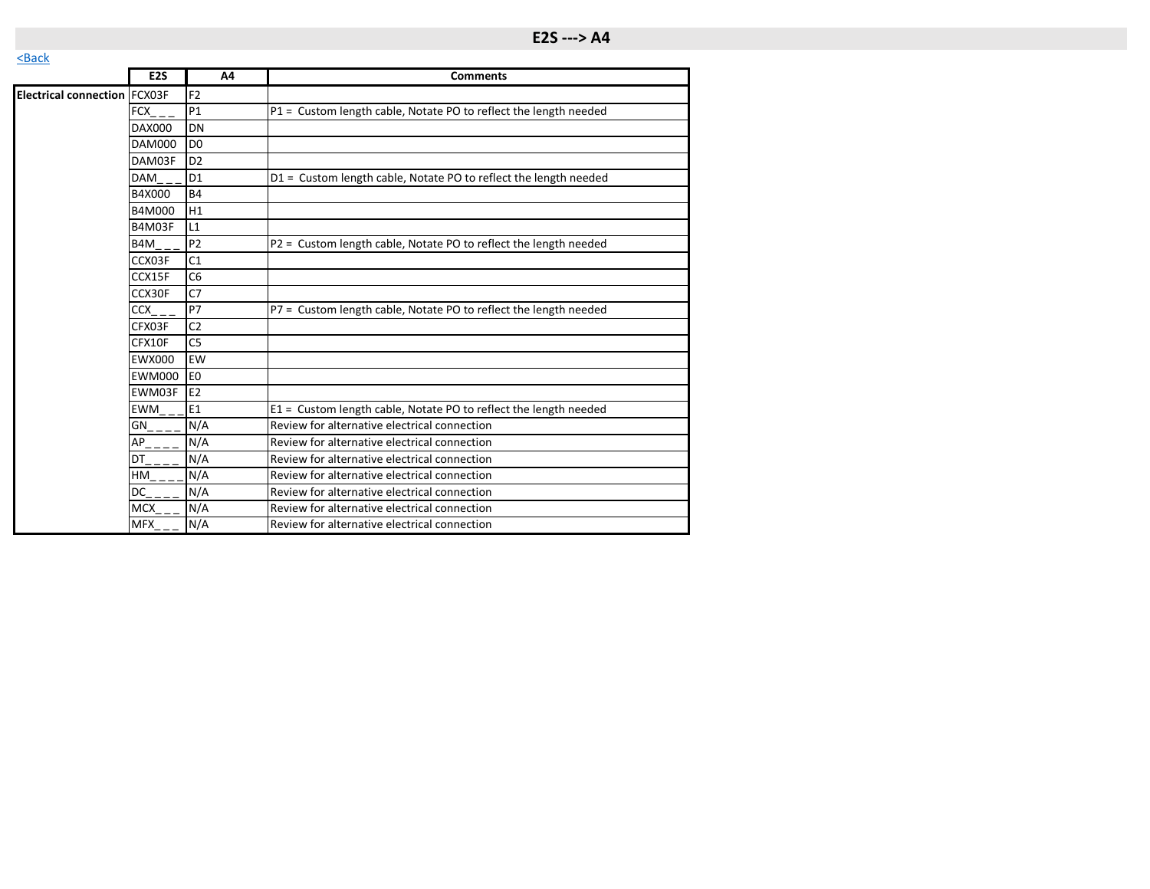|                                     | E <sub>2</sub> S | A4             | <b>Comments</b>                                                  |
|-------------------------------------|------------------|----------------|------------------------------------------------------------------|
| <b>Electrical connection FCX03F</b> |                  | F <sub>2</sub> |                                                                  |
|                                     | <b>FCX</b>       | P1             | P1 = Custom length cable, Notate PO to reflect the length needed |
|                                     | <b>DAX000</b>    | DN             |                                                                  |
|                                     | <b>DAM000</b>    | D <sub>0</sub> |                                                                  |
|                                     | DAM03F           | D <sub>2</sub> |                                                                  |
|                                     | <b>DAM</b>       | D <sub>1</sub> | D1 = Custom length cable, Notate PO to reflect the length needed |
|                                     | B4X000           | <b>B4</b>      |                                                                  |
|                                     | B4M000           | H1             |                                                                  |
|                                     | B4M03F           | L1             |                                                                  |
|                                     | B4M              | P <sub>2</sub> | P2 = Custom length cable, Notate PO to reflect the length needed |
|                                     | CCX03F           | C <sub>1</sub> |                                                                  |
|                                     | CCX15F           | C <sub>6</sub> |                                                                  |
|                                     | CCX30F           | C <sub>7</sub> |                                                                  |
|                                     | <b>CCX</b>       | P7             | P7 = Custom length cable, Notate PO to reflect the length needed |
|                                     | CFX03F           | C <sub>2</sub> |                                                                  |
|                                     | CFX10F           | C <sub>5</sub> |                                                                  |
|                                     | <b>EWX000</b>    | EW             |                                                                  |
|                                     | <b>EWM000</b>    | E <sub>0</sub> |                                                                  |
|                                     | EWM03F           | E <sub>2</sub> |                                                                  |
|                                     | EWM              | E1             | E1 = Custom length cable, Notate PO to reflect the length needed |
|                                     | GN               | N/A            | Review for alternative electrical connection                     |
|                                     | AP               | N/A            | Review for alternative electrical connection                     |
|                                     | DT               | N/A            | Review for alternative electrical connection                     |
|                                     | <b>HM</b>        | N/A            | Review for alternative electrical connection                     |
|                                     | DC               | N/A            | Review for alternative electrical connection                     |
|                                     | <b>MCX</b>       | N/A            | Review for alternative electrical connection                     |
|                                     | <b>MFX</b>       | N/A            | Review for alternative electrical connection                     |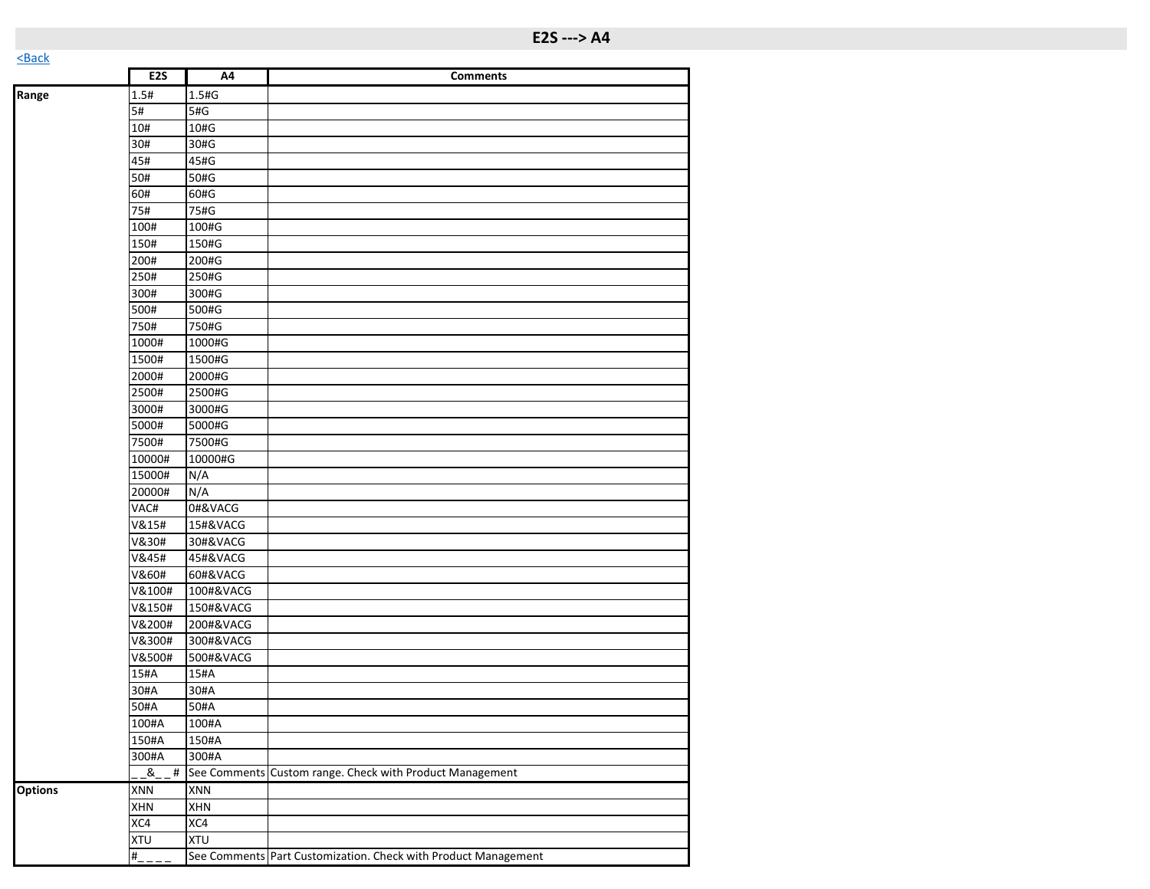| $- - - - -$    |                  |            |                                                                |
|----------------|------------------|------------|----------------------------------------------------------------|
|                | E <sub>2</sub> S | A4         | <b>Comments</b>                                                |
| Range          | 1.5#             | 1.5#G      |                                                                |
|                | 5#               | 5#G        |                                                                |
|                | 10#              | 10#G       |                                                                |
|                | 30#              | 30#G       |                                                                |
|                | 45#              | 45#G       |                                                                |
|                | 50#              | 50#G       |                                                                |
|                | 60#              | 60#G       |                                                                |
|                | 75#              | 75#G       |                                                                |
|                | 100#             | 100#G      |                                                                |
|                | 150#             | 150#G      |                                                                |
|                | 200#             | 200#G      |                                                                |
|                | 250#             | 250#G      |                                                                |
|                | 300#             | 300#G      |                                                                |
|                | 500#             | 500#G      |                                                                |
|                | 750#             | 750#G      |                                                                |
|                | 1000#            | 1000#G     |                                                                |
|                | 1500#            | 1500#G     |                                                                |
|                | 2000#            | 2000#G     |                                                                |
|                | 2500#            | 2500#G     |                                                                |
|                | 3000#            | 3000#G     |                                                                |
|                | 5000#            | 5000#G     |                                                                |
|                | 7500#            | 7500#G     |                                                                |
|                | 10000#           | 10000#G    |                                                                |
|                | 15000#           | N/A        |                                                                |
|                | 20000#           | N/A        |                                                                |
|                | VAC#             | 0#&VACG    |                                                                |
|                | V&15#            | 15#&VACG   |                                                                |
|                | V&30#            | 30#&VACG   |                                                                |
|                | V&45#            | 45#&VACG   |                                                                |
|                | V&60#            | 60#&VACG   |                                                                |
|                | V&100#           | 100#&VACG  |                                                                |
|                | V&150#           | 150#&VACG  |                                                                |
|                | V&200#           | 200#&VACG  |                                                                |
|                | V&300#           | 300#&VACG  |                                                                |
|                | V&500#           | 500#&VACG  |                                                                |
|                | 15#A             | 15#A       |                                                                |
|                | 30#A             | 30#A       |                                                                |
|                | 50#A             | 50#A       |                                                                |
|                | 100#A            | 100#A      |                                                                |
|                | 150#A            | 150#A      |                                                                |
|                | 300#A            | 300#A      |                                                                |
|                | ୍ଷ<br>$\#$       |            | See Comments Custom range. Check with Product Management       |
| <b>Options</b> | <b>XNN</b>       | XNN        |                                                                |
|                | XHN              | <b>XHN</b> |                                                                |
|                | XC4              | XC4        |                                                                |
|                | XTU              | <b>XTU</b> |                                                                |
|                | $\overline{H}$   |            | See Comments Part Customization. Check with Product Management |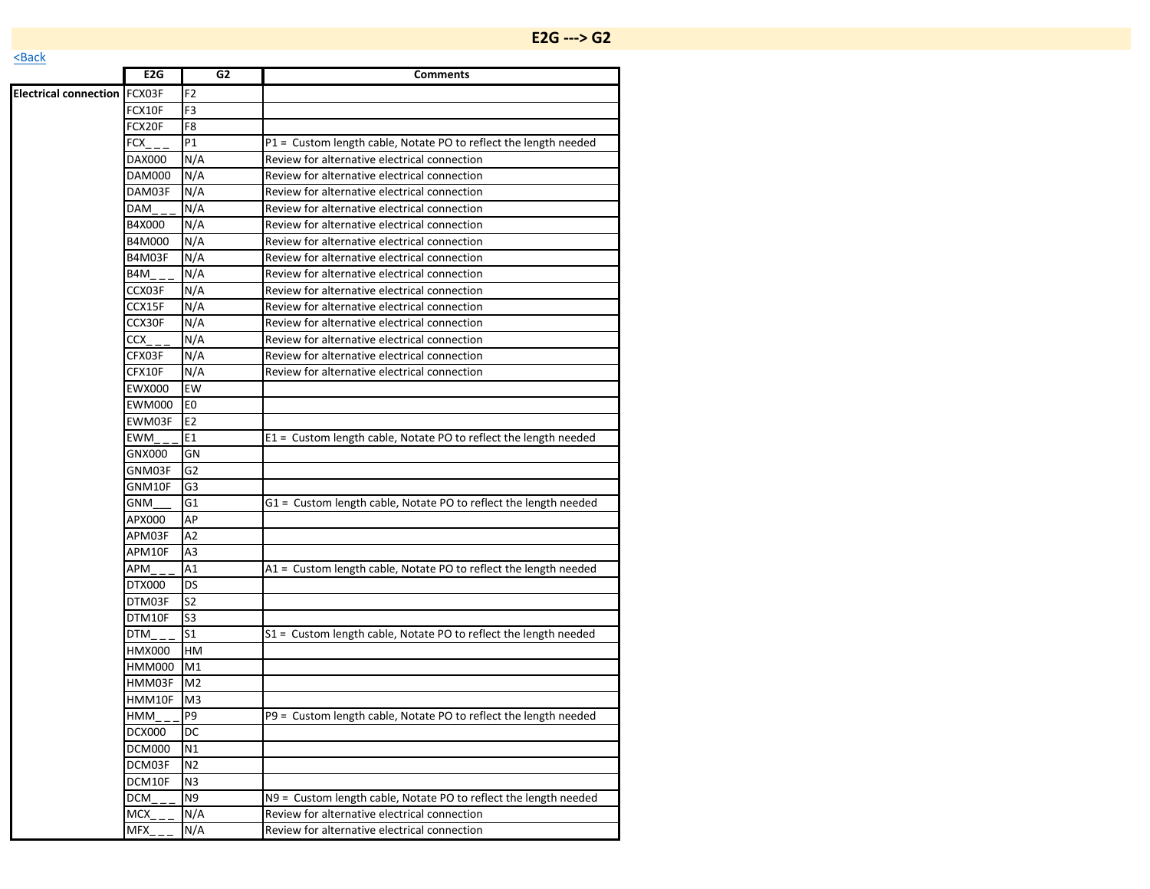## **E2G ---> [G2](https://www.ashcroft.com/products/pressure/pressure-sensors/g2-pressure-transducer/)**

|                                     | E <sub>2</sub> G | G <sub>2</sub> | <b>Comments</b>                                                  |
|-------------------------------------|------------------|----------------|------------------------------------------------------------------|
| <b>Electrical connection FCX03F</b> |                  | F2             |                                                                  |
|                                     | FCX10F           | F <sub>3</sub> |                                                                  |
|                                     | FCX20F           | F <sub>8</sub> |                                                                  |
|                                     | FCX              | P1             | P1 = Custom length cable, Notate PO to reflect the length needed |
|                                     | <b>DAX000</b>    | N/A            | Review for alternative electrical connection                     |
|                                     | <b>DAM000</b>    | N/A            | Review for alternative electrical connection                     |
|                                     | DAM03F           | N/A            | Review for alternative electrical connection                     |
|                                     | DAM              | N/A            | Review for alternative electrical connection                     |
|                                     | B4X000           | N/A            | Review for alternative electrical connection                     |
|                                     | B4M000           | N/A            | Review for alternative electrical connection                     |
|                                     | B4M03F           | N/A            | Review for alternative electrical connection                     |
|                                     | B4M              | N/A            | Review for alternative electrical connection                     |
|                                     | CCX03F           | N/A            | Review for alternative electrical connection                     |
|                                     | CCX15F           | N/A            | Review for alternative electrical connection                     |
|                                     | CCX30F           | N/A            | Review for alternative electrical connection                     |
|                                     | CCX              | N/A            | Review for alternative electrical connection                     |
|                                     | CFX03F           | N/A            | Review for alternative electrical connection                     |
|                                     | CFX10F           | N/A            | Review for alternative electrical connection                     |
|                                     | <b>EWX000</b>    | EW             |                                                                  |
|                                     | <b>EWM000</b>    | E <sub>0</sub> |                                                                  |
|                                     | EWM03F           | E <sub>2</sub> |                                                                  |
|                                     | EWM              | E1             | E1 = Custom length cable, Notate PO to reflect the length needed |
|                                     | GNX000           | GN             |                                                                  |
|                                     | GNM03F           | G <sub>2</sub> |                                                                  |
|                                     | GNM10F           | G3             |                                                                  |
|                                     | GNM              | G1             | G1 = Custom length cable, Notate PO to reflect the length needed |
|                                     | APX000           | AP             |                                                                  |
|                                     | APM03F           | A2             |                                                                  |
|                                     | APM10F           | A3             |                                                                  |
|                                     | APM              | A1             | A1 = Custom length cable, Notate PO to reflect the length needed |
|                                     | DTX000           | DS             |                                                                  |
|                                     | DTM03F           | S <sub>2</sub> |                                                                  |
|                                     | DTM10F           | S3             |                                                                  |
|                                     | DTM              | S <sub>1</sub> | S1 = Custom length cable, Notate PO to reflect the length needed |
|                                     | <b>HMX000</b>    | HM             |                                                                  |
|                                     | HMM000           | M1             |                                                                  |
|                                     | HMM03F           | M <sub>2</sub> |                                                                  |
|                                     | HMM10F           | M <sub>3</sub> |                                                                  |
|                                     | HMM_             | P <sub>9</sub> | P9 = Custom length cable, Notate PO to reflect the length needed |
|                                     | <b>DCX000</b>    | DC             |                                                                  |
|                                     | <b>DCM000</b>    | N1             |                                                                  |
|                                     | DCM03F           | N <sub>2</sub> |                                                                  |
|                                     | DCM10F           | N3             |                                                                  |
|                                     | <b>DCM</b>       | N <sub>9</sub> | N9 = Custom length cable, Notate PO to reflect the length needed |
|                                     | <b>MCX</b>       | N/A            | Review for alternative electrical connection                     |
|                                     | MFX              | N/A            | Review for alternative electrical connection                     |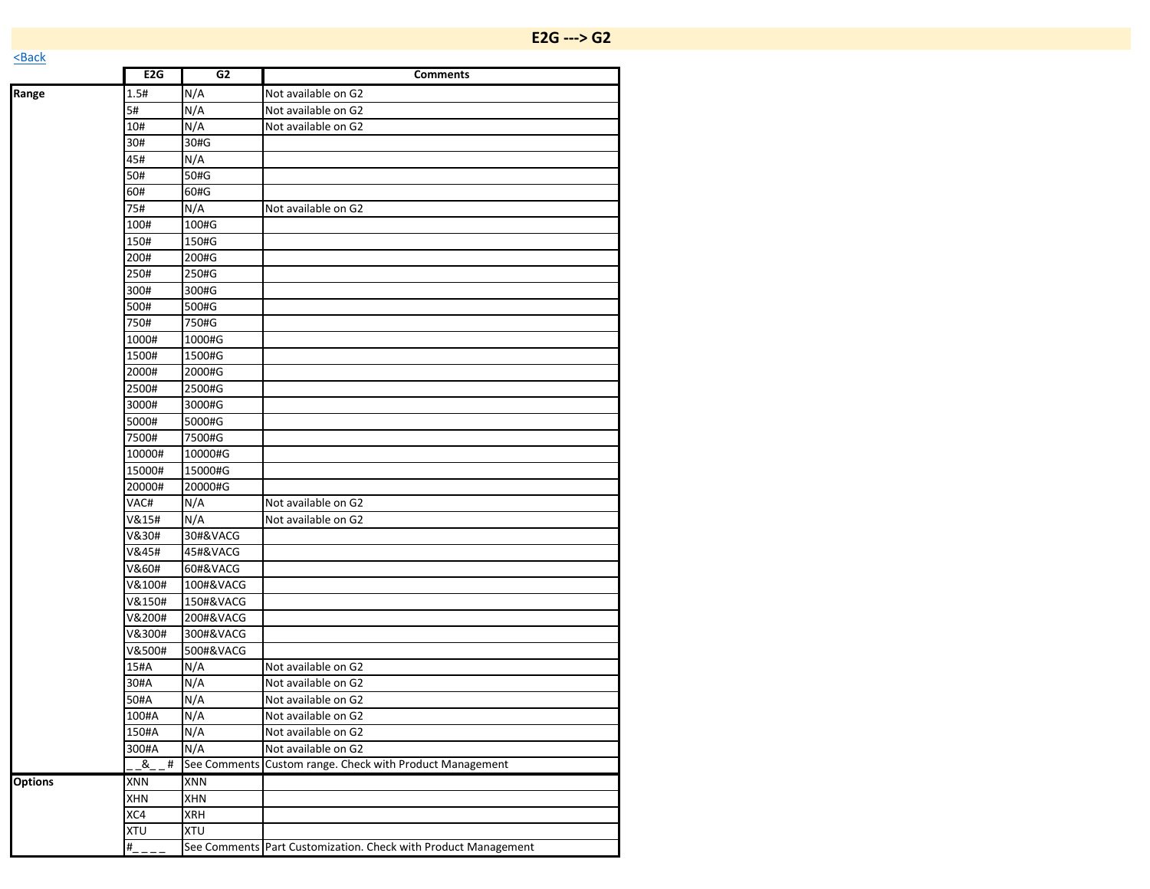|       | E <sub>2</sub> G | G2        | <b>Comments</b>     |
|-------|------------------|-----------|---------------------|
| Range | 1.5#             | N/A       | Not available on G2 |
|       | 5#               | N/A       | Not available on G2 |
|       | 10#              | N/A       | Not available on G2 |
|       | 30#              | 30#G      |                     |
|       | 45#              | N/A       |                     |
|       | 50#              | 50#G      |                     |
|       | 60#              | 60#G      |                     |
|       | 75#              | N/A       | Not available on G2 |
|       | 100#             | 100#G     |                     |
|       | 150#             | 150#G     |                     |
|       | 200#             | 200#G     |                     |
|       | 250#             | 250#G     |                     |
|       | 300#             | 300#G     |                     |
|       | 500#             | 500#G     |                     |
|       | 750#             | 750#G     |                     |
|       | 1000#            | 1000#G    |                     |
|       | 1500#            | 1500#G    |                     |
|       | 2000#            | 2000#G    |                     |
|       | 2500#            | 2500#G    |                     |
|       | 3000#            | 3000#G    |                     |
|       | 5000#            | 5000#G    |                     |
|       | 7500#            | 7500#G    |                     |
|       | 10000#           | 10000#G   |                     |
|       | 15000#           | 15000#G   |                     |
|       | 20000#           | 20000#G   |                     |
|       | VAC#             | N/A       | Not available on G2 |
|       | V&15#            | N/A       | Not available on G2 |
|       | V&30#            | 30#&VACG  |                     |
|       | V&45#            | 45#&VACG  |                     |
|       | V&60#            | 60#&VACG  |                     |
|       | V&100#           | 100#&VACG |                     |
|       | V&150#           | 150#&VACG |                     |
|       | V&200#           | 200#&VACG |                     |
|       | V&300#           | 300#&VACG |                     |
|       | V&500#           | 500#&VACG |                     |
|       | 15#A             | N/A       | Not available on G2 |
|       | 30#A             | N/A       | Not available on G2 |
|       | 50#A             | N/A       | Not available on G2 |
|       | 100#A            | N/A       | Not available on G2 |

100#A N/A Not available on G2<br>150#A N/A Not available on G2 150#A N/A Not available on G2 300#A N/A Not available on G2

**Options** XNN XNN

XHN XHN XC4 XRH XTU XTU

\_ \_&\_ \_ # See Comments Custom range. Check with Product Management

#\_\_\_\_ See Comments Part Customization. Check with Product Management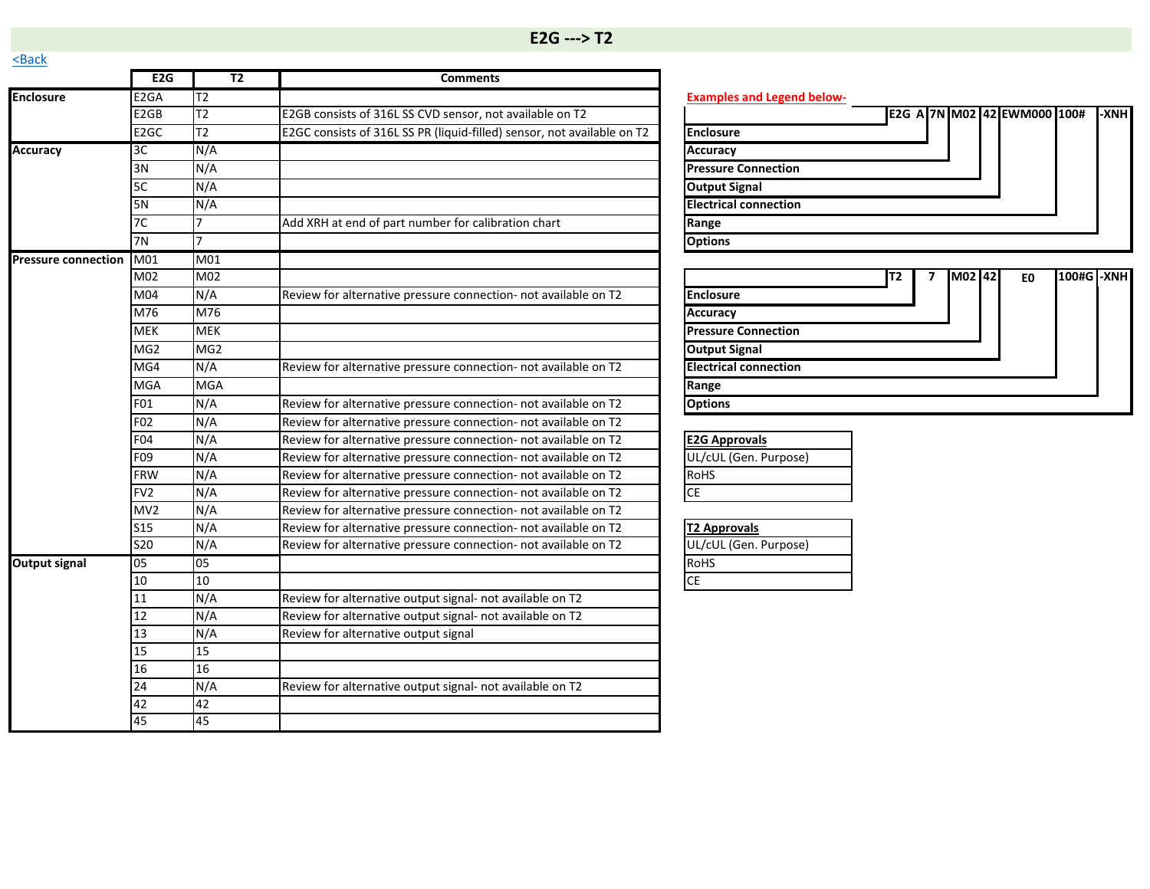<span id="page-12-0"></span>

|                            | E <sub>2G</sub>   | T <sub>2</sub>  | <b>Comments</b>                                                         |                                             |
|----------------------------|-------------------|-----------------|-------------------------------------------------------------------------|---------------------------------------------|
| <b>Enclosure</b>           | E <sub>2</sub> GA | T2              |                                                                         | <b>Examples and Legend below-</b>           |
|                            | E2GB              | T2              | E2GB consists of 316L SS CVD sensor, not available on T2                | E2G A 7N M02 42 EWM000 100#<br><b>I-XNH</b> |
|                            | E <sub>2</sub> GC | T2              | E2GC consists of 316L SS PR (liquid-filled) sensor, not available on T2 | <b>Enclosure</b>                            |
| <b>Accuracy</b>            | 3C                | N/A             |                                                                         | <b>Accuracy</b>                             |
|                            | 3N                | N/A             |                                                                         | <b>Pressure Connection</b>                  |
|                            | 5C                | N/A             |                                                                         | <b>Output Signal</b>                        |
|                            | <b>5N</b>         | N/A             |                                                                         | <b>Electrical connection</b>                |
|                            | 7C                |                 | Add XRH at end of part number for calibration chart                     | Range                                       |
|                            | 7N                |                 |                                                                         | <b>Options</b>                              |
| <b>Pressure connection</b> | M01               | M01             |                                                                         |                                             |
|                            | M02               | M02             |                                                                         | M02 42<br>100#G -XNH<br>T2<br>E0            |
|                            | M04               | N/A             | Review for alternative pressure connection- not available on T2         | <b>Enclosure</b>                            |
|                            | M76               | M76             |                                                                         | <b>Accuracy</b>                             |
|                            | <b>MEK</b>        | <b>MEK</b>      |                                                                         | <b>Pressure Connection</b>                  |
|                            | MG <sub>2</sub>   | MG <sub>2</sub> |                                                                         | <b>Output Signal</b>                        |
|                            | MG <sub>4</sub>   | N/A             | Review for alternative pressure connection- not available on T2         | <b>Electrical connection</b>                |
|                            | <b>MGA</b>        | <b>MGA</b>      |                                                                         | Range                                       |
|                            | F01               | N/A             | Review for alternative pressure connection- not available on T2         | <b>Options</b>                              |
|                            | F <sub>02</sub>   | N/A             | Review for alternative pressure connection- not available on T2         |                                             |
|                            | F04               | N/A             | Review for alternative pressure connection- not available on T2         | <b>E2G Approvals</b>                        |
|                            | F09               | N/A             | Review for alternative pressure connection- not available on T2         | UL/cUL (Gen. Purpose)                       |
|                            | <b>FRW</b>        | N/A             | Review for alternative pressure connection- not available on T2         | RoHS                                        |
|                            | FV <sub>2</sub>   | N/A             | Review for alternative pressure connection- not available on T2         | <b>CE</b>                                   |
|                            | MV <sub>2</sub>   | N/A             | Review for alternative pressure connection- not available on T2         |                                             |
|                            | <b>S15</b>        | N/A             | Review for alternative pressure connection- not available on T2         | <b>T2 Approvals</b>                         |
|                            | S20               | N/A             | Review for alternative pressure connection- not available on T2         | UL/cUL (Gen. Purpose)                       |
| <b>Output signal</b>       | 05                | 05              |                                                                         | RoHS                                        |
|                            | 10                | 10              |                                                                         | <b>CE</b>                                   |
|                            | 11                | N/A             | Review for alternative output signal- not available on T2               |                                             |
|                            | 12                | N/A             | Review for alternative output signal- not available on T2               |                                             |
|                            | 13                | N/A             | Review for alternative output signal                                    |                                             |
|                            | 15                | 15              |                                                                         |                                             |
|                            | 16                | 16              |                                                                         |                                             |
|                            | 24                | N/A             | Review for alternative output signal- not available on T2               |                                             |
|                            | 42                | 42              |                                                                         |                                             |
|                            | 45                | 45              |                                                                         |                                             |

|  |  |  | -XNH                        |
|--|--|--|-----------------------------|
|  |  |  |                             |
|  |  |  |                             |
|  |  |  |                             |
|  |  |  |                             |
|  |  |  |                             |
|  |  |  |                             |
|  |  |  |                             |
|  |  |  | E2G A 7N M02 42 EWM000 100# |

|                              | lT2 | <b>M021421</b> | E <sub>0</sub> | 100#G -XNH |  |
|------------------------------|-----|----------------|----------------|------------|--|
| <b>Enclosure</b>             |     |                |                |            |  |
| <b>Accuracy</b>              |     |                |                |            |  |
| <b>Pressure Connection</b>   |     |                |                |            |  |
| <b>Output Signal</b>         |     |                |                |            |  |
| <b>Electrical connection</b> |     |                |                |            |  |
| Range                        |     |                |                |            |  |
| <b>Options</b>               |     |                |                |            |  |

| <b>E2G Approvals</b>  |
|-----------------------|
| UL/cUL (Gen. Purpose) |
| <b>RoHS</b>           |
|                       |

|             | <b>T2 Approvals</b>   |
|-------------|-----------------------|
|             | UL/cUL (Gen. Purpose) |
| <b>RoHS</b> |                       |
|             |                       |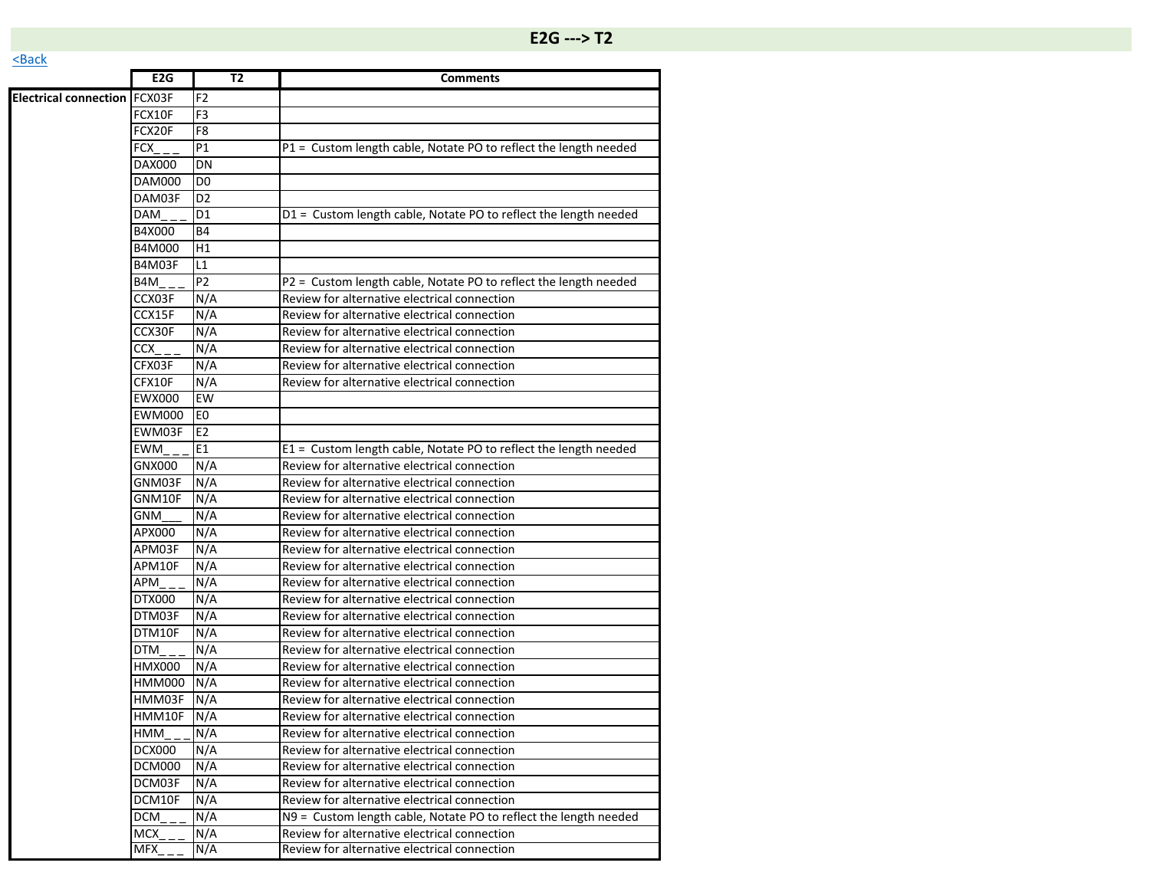|                                     | E <sub>2</sub> G | T2             | <b>Comments</b>                                                  |
|-------------------------------------|------------------|----------------|------------------------------------------------------------------|
| <b>Electrical connection FCX03F</b> |                  | F <sub>2</sub> |                                                                  |
|                                     | FCX10F           | F <sub>3</sub> |                                                                  |
|                                     | FCX20F           | F <sub>8</sub> |                                                                  |
|                                     | FCX              | P1             | P1 = Custom length cable, Notate PO to reflect the length needed |
|                                     | <b>DAX000</b>    | DN             |                                                                  |
|                                     | <b>DAM000</b>    | D <sub>0</sub> |                                                                  |
|                                     | DAM03F           | D <sub>2</sub> |                                                                  |
|                                     | DAM              | D1             | D1 = Custom length cable, Notate PO to reflect the length needed |
|                                     | B4X000           | Β4             |                                                                  |
|                                     | B4M000           | H1             |                                                                  |
|                                     | <b>B4M03F</b>    | L1             |                                                                  |
|                                     | B4M              | P <sub>2</sub> | P2 = Custom length cable, Notate PO to reflect the length needed |
|                                     | CCX03F           | N/A            | Review for alternative electrical connection                     |
|                                     | CCX15F           | N/A            | Review for alternative electrical connection                     |
|                                     | CCX30F           | N/A            | Review for alternative electrical connection                     |
|                                     | CCX              | N/A            | Review for alternative electrical connection                     |
|                                     | CFX03F           | N/A            | Review for alternative electrical connection                     |
|                                     | CFX10F           | N/A            | Review for alternative electrical connection                     |
|                                     | <b>EWX000</b>    | <b>EW</b>      |                                                                  |
|                                     | <b>EWM000</b>    | E <sub>0</sub> |                                                                  |
|                                     | EWM03F           | E <sub>2</sub> |                                                                  |
|                                     | <b>EWM</b>       | E1             | E1 = Custom length cable, Notate PO to reflect the length needed |
|                                     | GNX000           | N/A            | Review for alternative electrical connection                     |
|                                     | GNM03F           | N/A            | Review for alternative electrical connection                     |
|                                     | GNM10F           | N/A            | Review for alternative electrical connection                     |
|                                     | <b>GNM</b>       | N/A            | Review for alternative electrical connection                     |
|                                     | APX000           | N/A            | Review for alternative electrical connection                     |
|                                     | APM03F           | N/A            | Review for alternative electrical connection                     |
|                                     | APM10F           | N/A            | Review for alternative electrical connection                     |
|                                     | APM              | N/A            | Review for alternative electrical connection                     |
|                                     | DTX000           | N/A            | Review for alternative electrical connection                     |
|                                     | DTM03F           | N/A            | Review for alternative electrical connection                     |
|                                     | DTM10F           | N/A            | Review for alternative electrical connection                     |
|                                     | DTM              | N/A            | Review for alternative electrical connection                     |
|                                     | HMX000           | N/A            | Review for alternative electrical connection                     |
|                                     | HMM000           | N/A            | Review for alternative electrical connection                     |
|                                     | HMM03F           | N/A            | Review for alternative electrical connection                     |
|                                     | HMM10F           | N/A            | Review for alternative electrical connection                     |
|                                     | HMM              | N/A            | Review for alternative electrical connection                     |
|                                     | <b>DCX000</b>    | N/A            | Review for alternative electrical connection                     |
|                                     | DCM000           | N/A            | Review for alternative electrical connection                     |
|                                     | DCM03F           | N/A            | Review for alternative electrical connection                     |
|                                     | DCM10F           | N/A            | Review for alternative electrical connection                     |
|                                     | DCM              | N/A            | N9 = Custom length cable, Notate PO to reflect the length needed |
|                                     | MCX              | N/A            | Review for alternative electrical connection                     |
|                                     | <b>MFX</b>       | N/A            | Review for alternative electrical connection                     |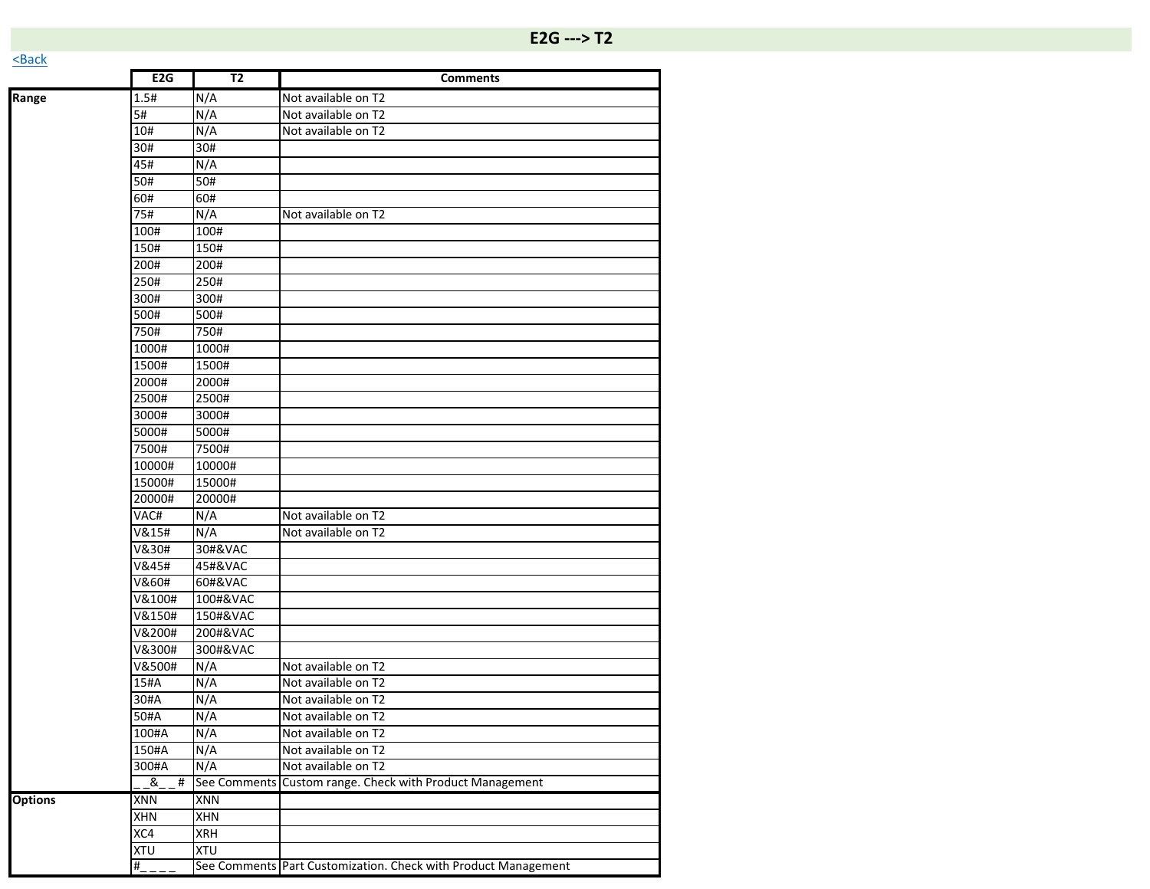| Range          | 1.5#       | N/A        | Not available on T2                                      |
|----------------|------------|------------|----------------------------------------------------------|
|                | 5#         | N/A        | Not available on T2                                      |
|                | 10#        | N/A        | Not available on T2                                      |
|                | 30#        | 30#        |                                                          |
|                | 45#        | N/A        |                                                          |
|                | 50#        | 50#        |                                                          |
|                | 60#        | 60#        |                                                          |
|                | 75#        | N/A        | Not available on T2                                      |
|                | 100#       | 100#       |                                                          |
|                | 150#       | 150#       |                                                          |
|                | 200#       | 200#       |                                                          |
|                | 250#       | 250#       |                                                          |
|                | 300#       | 300#       |                                                          |
|                | 500#       | 500#       |                                                          |
|                | 750#       | 750#       |                                                          |
|                | 1000#      | 1000#      |                                                          |
|                | 1500#      | 1500#      |                                                          |
|                | 2000#      | 2000#      |                                                          |
|                | 2500#      | 2500#      |                                                          |
|                | 3000#      | 3000#      |                                                          |
|                | 5000#      | 5000#      |                                                          |
|                | 7500#      | 7500#      |                                                          |
|                | 10000#     | 10000#     |                                                          |
|                | 15000#     | 15000#     |                                                          |
|                | 20000#     | 20000#     |                                                          |
|                | VAC#       | N/A        | Not available on T2                                      |
|                | V&15#      | N/A        | Not available on T2                                      |
|                | V&30#      | 30#&VAC    |                                                          |
|                | V&45#      | 45#&VAC    |                                                          |
|                | V&60#      | 60#&VAC    |                                                          |
|                | V&100#     | 100#&VAC   |                                                          |
|                | V&150#     | 150#&VAC   |                                                          |
|                | V&200#     | 200#&VAC   |                                                          |
|                | V&300#     | 300#&VAC   |                                                          |
|                | V&500#     | N/A        | Not available on T2                                      |
|                | 15#A       | N/A        | Not available on T2                                      |
|                | 30#A       | N/A        | Not available on T2                                      |
|                | 50#A       | N/A        | Not available on T2                                      |
|                | 100#A      | N/A        | Not available on T2                                      |
|                | 150#A      | N/A        | Not available on T2                                      |
|                | 300#A      | N/A        | Not available on T2                                      |
|                | &<br>#     |            | See Comments Custom range. Check with Product Management |
| <b>Options</b> | <b>XNN</b> | XNN        |                                                          |
|                | <b>XHN</b> | <b>XHN</b> |                                                          |

XC4 XRH XTU XTU

#\_\_\_\_ See Comments Part Customization. Check with Product Management

**E2G T2 Comments**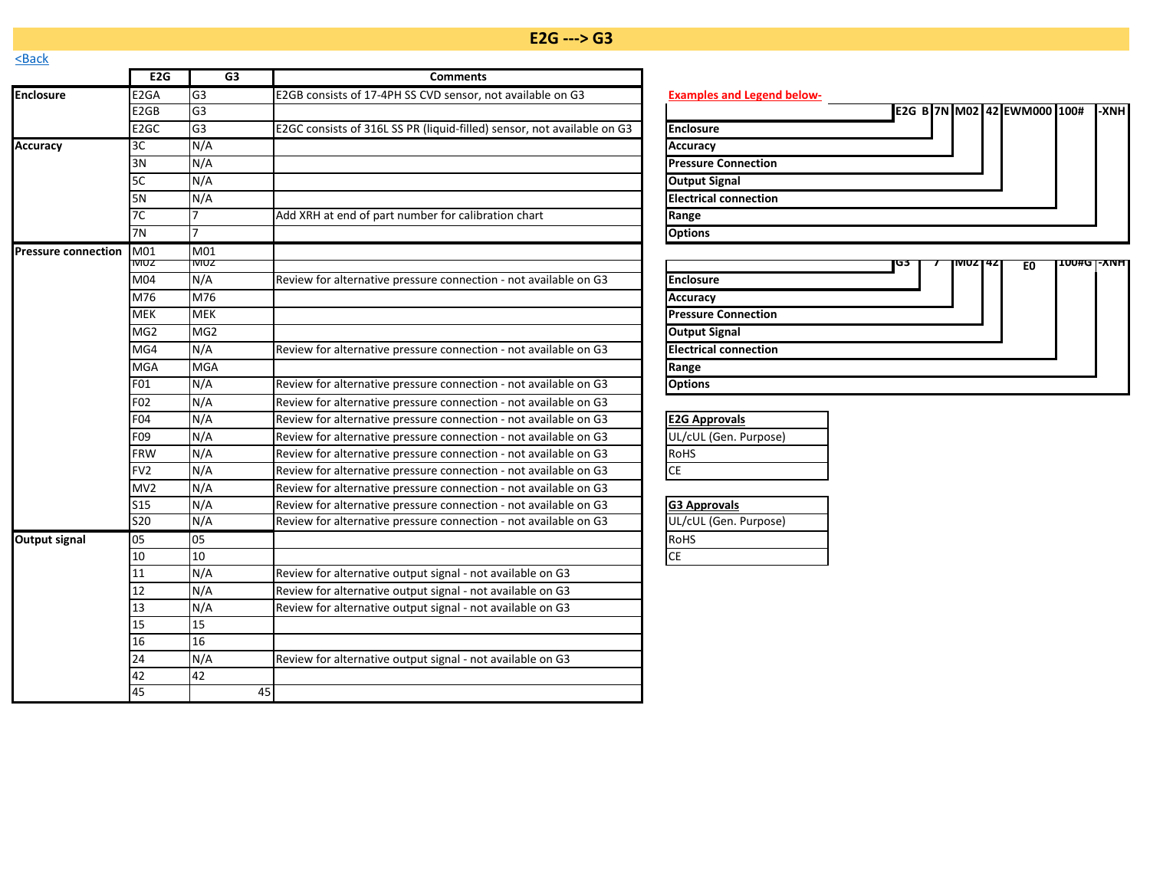## **E2G ---> G3**

<span id="page-15-0"></span>

| <b>NDUCK</b>               |                   |                 |                                                                         |                                                 |
|----------------------------|-------------------|-----------------|-------------------------------------------------------------------------|-------------------------------------------------|
|                            | E2G               | G3              | <b>Comments</b>                                                         |                                                 |
| <b>Enclosure</b>           | E <sub>2GA</sub>  | G <sub>3</sub>  | E2GB consists of 17-4PH SS CVD sensor, not available on G3              | <b>Examples and Legend below-</b>               |
|                            | E2GB              | G3              |                                                                         | E2G B 7N M02 42 EWM000 100#<br>$\mathsf{L}$ XNH |
|                            | E <sub>2</sub> GC | G <sub>3</sub>  | E2GC consists of 316L SS PR (liquid-filled) sensor, not available on G3 | <b>Enclosure</b>                                |
| <b>Accuracy</b>            | 3C                | N/A             |                                                                         | <b>Accuracy</b>                                 |
|                            | 3N                | N/A             |                                                                         | <b>Pressure Connection</b>                      |
|                            | 5C                | N/A             |                                                                         | <b>Output Signal</b>                            |
|                            | 5N                | N/A             |                                                                         | <b>Electrical connection</b>                    |
|                            | 7C                |                 | Add XRH at end of part number for calibration chart                     | Range                                           |
|                            | 7N                | 7               |                                                                         | <b>Options</b>                                  |
| <b>Pressure connection</b> | M01               | M <sub>01</sub> |                                                                         |                                                 |
|                            | <b>NUZ</b>        | IVIUZ           |                                                                         | <b>100#GT-XNH</b><br>G3<br>VIUZ 142<br>E0       |
|                            | M04               | N/A             | Review for alternative pressure connection - not available on G3        | <b>Enclosure</b>                                |
|                            | M76               | M76             |                                                                         | Accuracy                                        |
|                            | <b>MEK</b>        | <b>MEK</b>      |                                                                         | <b>Pressure Connection</b>                      |
|                            | MG <sub>2</sub>   | MG <sub>2</sub> |                                                                         | <b>Output Signal</b>                            |
|                            | MG4               | N/A             | Review for alternative pressure connection - not available on G3        | <b>Electrical connection</b>                    |
|                            | <b>MGA</b>        | <b>MGA</b>      |                                                                         | Range                                           |
|                            | F01               | N/A             | Review for alternative pressure connection - not available on G3        | <b>Options</b>                                  |
|                            | F02               | N/A             | Review for alternative pressure connection - not available on G3        |                                                 |
|                            | F04               | N/A             | Review for alternative pressure connection - not available on G3        | <b>E2G Approvals</b>                            |
|                            | F09               | N/A             | Review for alternative pressure connection - not available on G3        | UL/cUL (Gen. Purpose)                           |
|                            | <b>FRW</b>        | N/A             | Review for alternative pressure connection - not available on G3        | RoHS                                            |
|                            | FV <sub>2</sub>   | N/A             | Review for alternative pressure connection - not available on G3        | <b>CE</b>                                       |
|                            | MV2               | N/A             | Review for alternative pressure connection - not available on G3        |                                                 |
|                            | <b>S15</b>        | N/A             | Review for alternative pressure connection - not available on G3        | <b>G3 Approvals</b>                             |
|                            | <b>S20</b>        | N/A             | Review for alternative pressure connection - not available on G3        | UL/cUL (Gen. Purpose)                           |
| <b>Output signal</b>       | 05                | 05              |                                                                         | RoHS                                            |
|                            | 10                | 10              |                                                                         | CE                                              |
|                            | 11                | N/A             | Review for alternative output signal - not available on G3              |                                                 |
|                            | 12                | N/A             | Review for alternative output signal - not available on G3              |                                                 |
|                            | 13                | N/A             | Review for alternative output signal - not available on G3              |                                                 |
|                            | 15                | 15              |                                                                         |                                                 |
|                            | 16                | 16              |                                                                         |                                                 |
|                            | 24                | N/A             | Review for alternative output signal - not available on G3              |                                                 |
|                            | 42                | 42              |                                                                         |                                                 |
|                            | 45                | 45              |                                                                         |                                                 |

|                              |  |  | E2G B 7N M02 42 EWM000 100# | -XNH |
|------------------------------|--|--|-----------------------------|------|
| <b>Enclosure</b>             |  |  |                             |      |
| Accuracy                     |  |  |                             |      |
| <b>Pressure Connection</b>   |  |  |                             |      |
| <b>Output Signal</b>         |  |  |                             |      |
| <b>Electrical connection</b> |  |  |                             |      |
| Range                        |  |  |                             |      |
| <b>Options</b>               |  |  |                             |      |

|                              | Ю3 | <b>INUZT4ZI</b> | E0 | <b>TUU#GT-XNH</b> |  |
|------------------------------|----|-----------------|----|-------------------|--|
| <b>Enclosure</b>             |    |                 |    |                   |  |
| <b>Accuracy</b>              |    |                 |    |                   |  |
| <b>Pressure Connection</b>   |    |                 |    |                   |  |
| <b>Output Signal</b>         |    |                 |    |                   |  |
| <b>Electrical connection</b> |    |                 |    |                   |  |
| Range                        |    |                 |    |                   |  |
| <b>Options</b>               |    |                 |    |                   |  |

| <b>E2G Approvals</b>  |  |  |  |  |  |
|-----------------------|--|--|--|--|--|
| UL/cUL (Gen. Purpose) |  |  |  |  |  |
| RoHS                  |  |  |  |  |  |
| ICE                   |  |  |  |  |  |

| <b>G3 Approvals</b>   |  |  |  |  |  |  |
|-----------------------|--|--|--|--|--|--|
| UL/cUL (Gen. Purpose) |  |  |  |  |  |  |
| <b>RoHS</b>           |  |  |  |  |  |  |
|                       |  |  |  |  |  |  |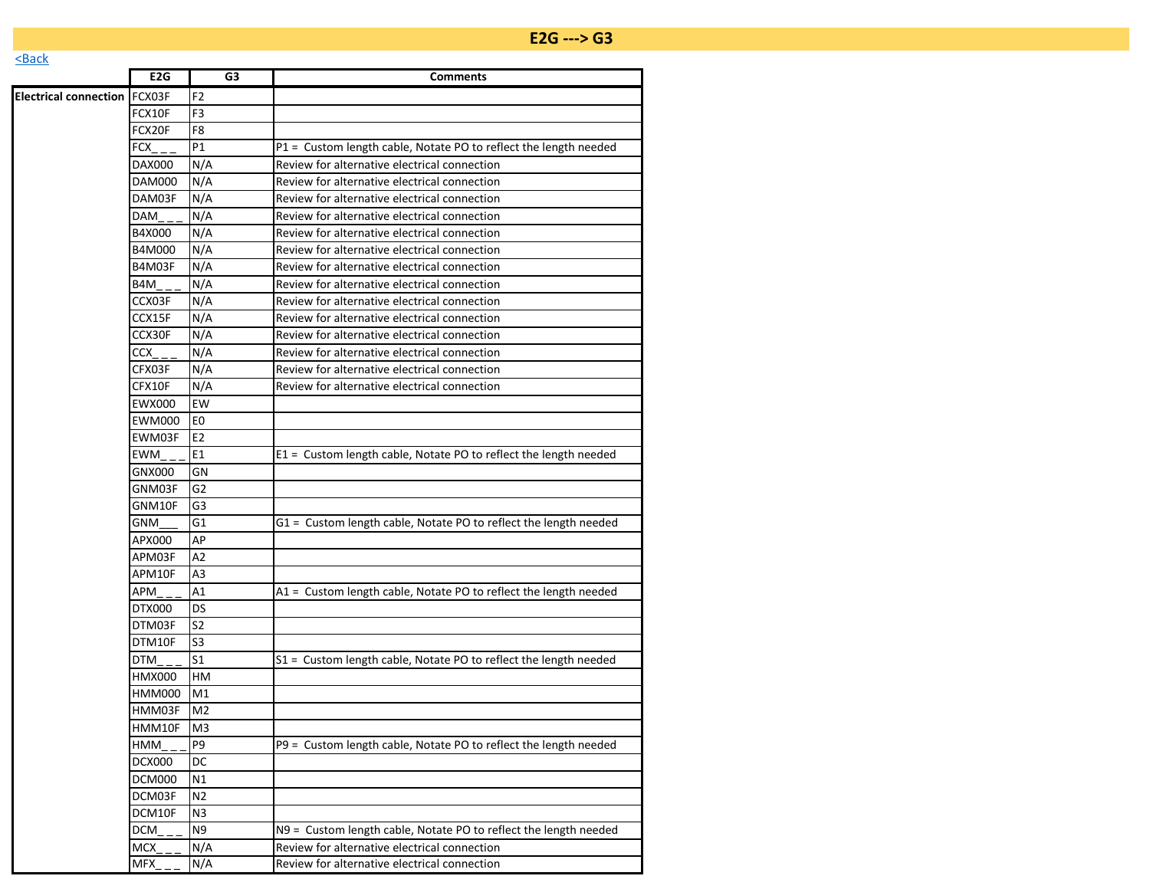|                                     | E <sub>2</sub> G | G3              | <b>Comments</b>                                                  |
|-------------------------------------|------------------|-----------------|------------------------------------------------------------------|
| <b>Electrical connection FCX03F</b> |                  | F <sub>2</sub>  |                                                                  |
|                                     | FCX10F           | F <sub>3</sub>  |                                                                  |
|                                     | FCX20F           | F8              |                                                                  |
|                                     | FCX              | P1              | P1 = Custom length cable, Notate PO to reflect the length needed |
|                                     | DAX000           | N/A             | Review for alternative electrical connection                     |
|                                     | <b>DAM000</b>    | N/A             | Review for alternative electrical connection                     |
|                                     | DAM03F           | N/A             | Review for alternative electrical connection                     |
|                                     | DAM              | N/A             | Review for alternative electrical connection                     |
|                                     | B4X000           | N/A             | Review for alternative electrical connection                     |
|                                     | B4M000           | N/A             | Review for alternative electrical connection                     |
|                                     | B4M03F           | N/A             | Review for alternative electrical connection                     |
|                                     | B4M              | N/A             | Review for alternative electrical connection                     |
|                                     | CCX03F           | N/A             | Review for alternative electrical connection                     |
|                                     | CCX15F           | N/A             | Review for alternative electrical connection                     |
|                                     | CCX30F           | N/A             | Review for alternative electrical connection                     |
|                                     | CCX              | N/A             | Review for alternative electrical connection                     |
|                                     | CFX03F           | N/A             | Review for alternative electrical connection                     |
|                                     | CFX10F           | N/A             | Review for alternative electrical connection                     |
|                                     | <b>EWX000</b>    | EW              |                                                                  |
|                                     | <b>EWM000</b>    | E <sub>0</sub>  |                                                                  |
|                                     | EWM03F           | E <sub>2</sub>  |                                                                  |
|                                     | <b>EWM</b>       | E1              | E1 = Custom length cable, Notate PO to reflect the length needed |
|                                     | GNX000           | GN              |                                                                  |
|                                     | GNM03F           | $\overline{G2}$ |                                                                  |
|                                     | GNM10F           | G <sub>3</sub>  |                                                                  |
|                                     | <b>GNM</b>       | G1              | G1 = Custom length cable, Notate PO to reflect the length needed |
|                                     | APX000           | AP              |                                                                  |
|                                     | APM03F           | $\overline{A2}$ |                                                                  |
|                                     | APM10F           | A <sub>3</sub>  |                                                                  |
|                                     | APM              | A1              | A1 = Custom length cable, Notate PO to reflect the length needed |
|                                     | DTX000           | DS              |                                                                  |
|                                     | DTM03F           | S <sub>2</sub>  |                                                                  |
|                                     | DTM10F           | S <sub>3</sub>  |                                                                  |
|                                     | DTM              | S <sub>1</sub>  | S1 = Custom length cable, Notate PO to reflect the length needed |
|                                     | <b>HMX000</b>    | HM              |                                                                  |
|                                     | HMM000           | M1              |                                                                  |
|                                     | HMM03F           | M <sub>2</sub>  |                                                                  |
|                                     | HMM10F           | M <sub>3</sub>  |                                                                  |
|                                     | HMM              | P <sub>9</sub>  | P9 = Custom length cable, Notate PO to reflect the length needed |
|                                     | DCX000           | DC              |                                                                  |
|                                     | DCM000           | N1              |                                                                  |

 $\frac{DCM}{M}$  N9 = Custom length cable, Notate PO to reflect the length needed<br>MCX \_\_ N/A Review for alternative electrical connection Review for alternative electrical connection

 $MEX_{\text{max}} = N/A$  Review for alternative electrical connection

DCM03F N2 DCM10F N3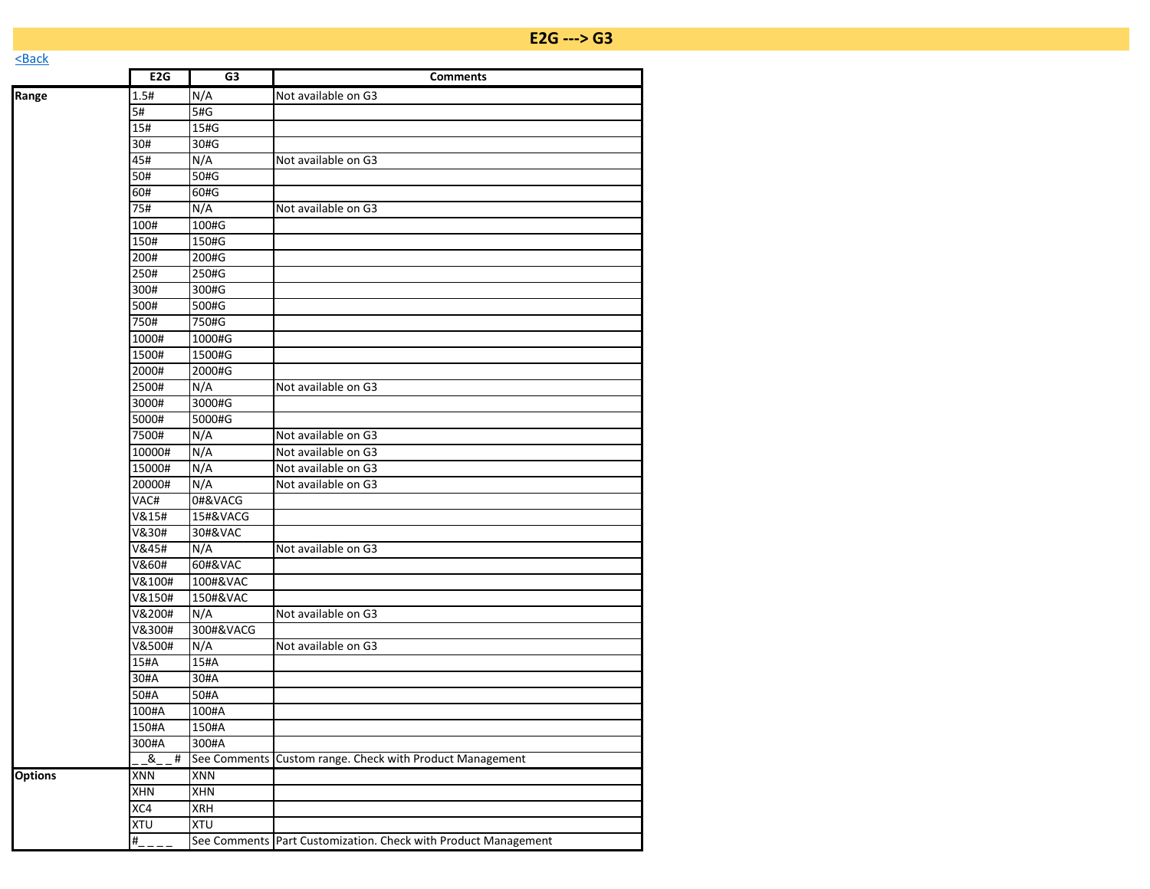|                | E <sub>2</sub> G | G3           | <b>Comments</b>                                                |
|----------------|------------------|--------------|----------------------------------------------------------------|
| Range          | 1.5#             | N/A          | Not available on G3                                            |
|                | 5#               | 5#G          |                                                                |
|                | 15#              | 15#G         |                                                                |
|                | 30#              | 30#G         |                                                                |
|                | 45#              | N/A          | Not available on G3                                            |
|                | 50#              | 50#G         |                                                                |
|                | 60#              | 60#G         |                                                                |
|                | 75#              | N/A          | Not available on G3                                            |
|                | 100#             | 100#G        |                                                                |
|                | 150#             | 150#G        |                                                                |
|                | 200#             | 200#G        |                                                                |
|                | 250#             | 250#G        |                                                                |
|                | 300#             | 300#G        |                                                                |
|                | 500#             | 500#G        |                                                                |
|                | 750#             | 750#G        |                                                                |
|                | 1000#            | 1000#G       |                                                                |
|                | 1500#            | 1500#G       |                                                                |
|                | 2000#            | 2000#G       |                                                                |
|                | 2500#            | N/A          | Not available on G3                                            |
|                | 3000#            | 3000#G       |                                                                |
|                | 5000#            | 5000#G       |                                                                |
|                | 7500#            | N/A          | Not available on G3                                            |
|                | 10000#           | N/A          | Not available on G3                                            |
|                | 15000#           | N/A          | Not available on G3                                            |
|                | 20000#           | N/A          | Not available on G3                                            |
|                | VAC#             | 0#&VACG      |                                                                |
|                | V&15#            | 15#&VACG     |                                                                |
|                | V&30#            | 30#&VAC      |                                                                |
|                | V&45#            | N/A          | Not available on G3                                            |
|                | V&60#            | 60#&VAC      |                                                                |
|                | V&100#           | 100#&VAC     |                                                                |
|                | V&150#           | 150#&VAC     |                                                                |
|                | V&200#           | N/A          | Not available on G3                                            |
|                | V&300#           | 300#&VACG    |                                                                |
|                | V&500#           | N/A          | Not available on G3                                            |
|                | 15#A             | 15#A         |                                                                |
|                | 30#A             | 30#A         |                                                                |
|                | 50#A             | 50#A         |                                                                |
|                | 100#A            | 100#A        |                                                                |
|                | 150#A            | 150#A        |                                                                |
|                | 300#A            | 300#A        |                                                                |
|                | &<br>#           | See Comments | Custom range. Check with Product Management                    |
| <b>Options</b> | XNN              | <b>XNN</b>   |                                                                |
|                | XHN              | XHN          |                                                                |
|                | XC4              | <b>XRH</b>   |                                                                |
|                | XTU              | XTU          |                                                                |
|                | #                |              | See Comments Part Customization. Check with Product Management |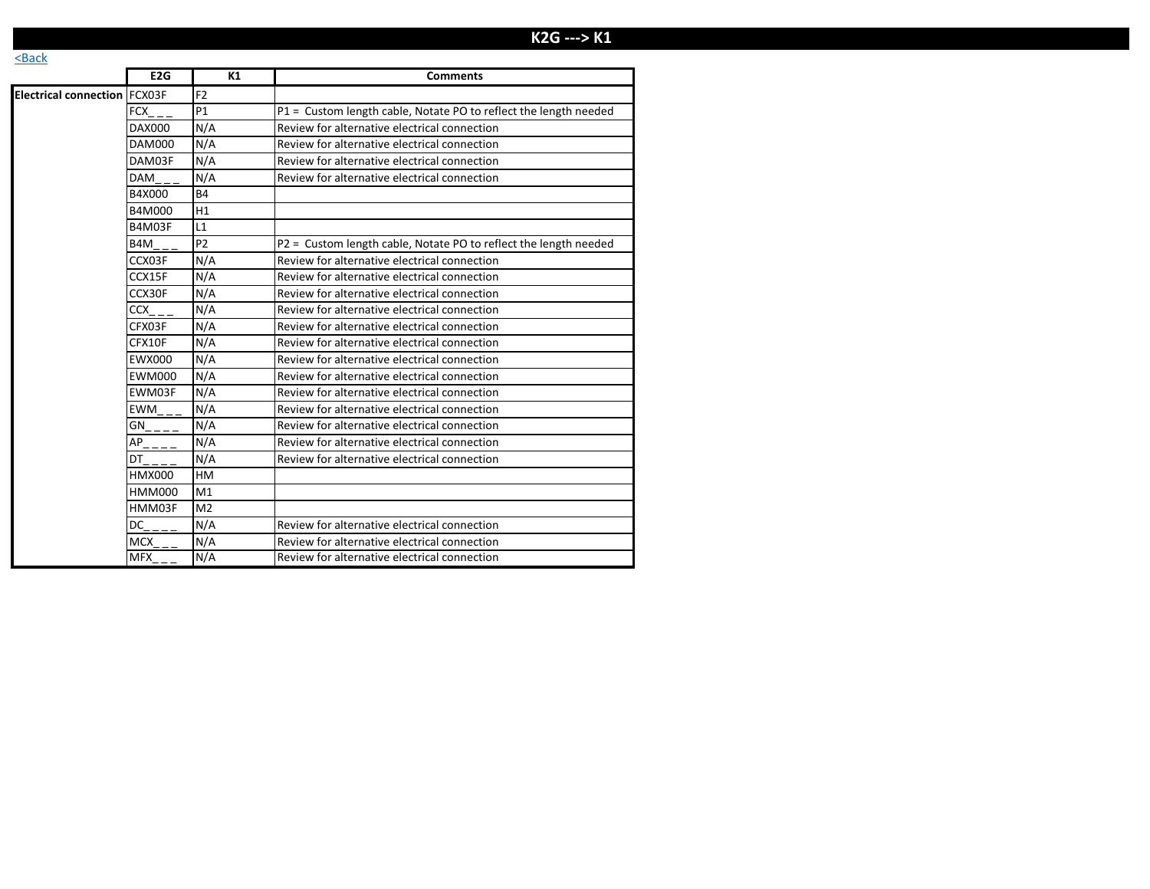# **E2G ---> K1**

|                                     | E2G           | K1             | <b>Comments</b>                                                  |
|-------------------------------------|---------------|----------------|------------------------------------------------------------------|
| <b>Electrical connection FCX03F</b> |               | F <sub>2</sub> |                                                                  |
|                                     | FCX           | P1             | P1 = Custom length cable, Notate PO to reflect the length needed |
|                                     | DAX000        | N/A            | Review for alternative electrical connection                     |
|                                     | DAM000        | N/A            | Review for alternative electrical connection                     |
|                                     | DAM03F        | N/A            | Review for alternative electrical connection                     |
|                                     | <b>DAM</b>    | N/A            | Review for alternative electrical connection                     |
|                                     | B4X000        | <b>B4</b>      |                                                                  |
|                                     | B4M000        | H1             |                                                                  |
|                                     | B4M03F        | L1             |                                                                  |
|                                     | B4M           | P <sub>2</sub> | P2 = Custom length cable, Notate PO to reflect the length needed |
|                                     | CCX03F        | N/A            | Review for alternative electrical connection                     |
|                                     | CCX15F        | N/A            | Review for alternative electrical connection                     |
|                                     | CCX30F        | N/A            | Review for alternative electrical connection                     |
|                                     | CCX           | N/A            | Review for alternative electrical connection                     |
|                                     | CFX03F        | N/A            | Review for alternative electrical connection                     |
|                                     | CFX10F        | N/A            | Review for alternative electrical connection                     |
|                                     | <b>EWX000</b> | N/A            | Review for alternative electrical connection                     |
|                                     | <b>EWM000</b> | N/A            | Review for alternative electrical connection                     |
|                                     | EWM03F        | N/A            | Review for alternative electrical connection                     |
|                                     | EWM           | N/A            | Review for alternative electrical connection                     |
|                                     | GN            | N/A            | Review for alternative electrical connection                     |
|                                     | AP            | N/A            | Review for alternative electrical connection                     |
|                                     | DT            | N/A            | Review for alternative electrical connection                     |
|                                     | <b>HMX000</b> | HM             |                                                                  |
|                                     | HMM000        | M1             |                                                                  |
|                                     | HMM03F        | M <sub>2</sub> |                                                                  |
|                                     | DC            | N/A            | Review for alternative electrical connection                     |
|                                     | MCX           | N/A            | Review for alternative electrical connection                     |
|                                     | <b>MFX</b>    | N/A            | Review for alternative electrical connection                     |